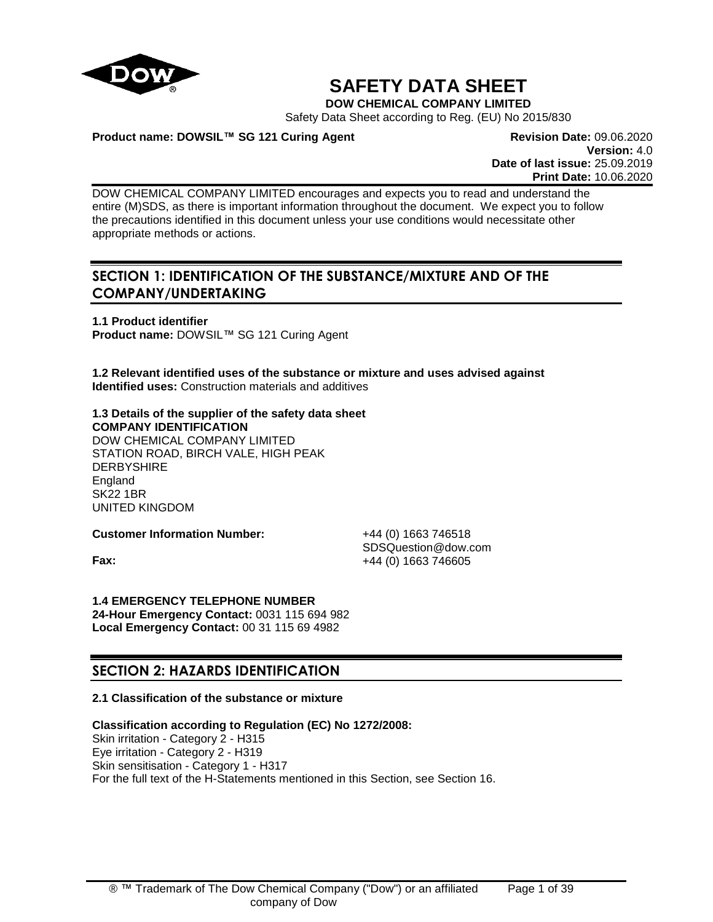

# **SAFETY DATA SHEET**

**DOW CHEMICAL COMPANY LIMITED**

Safety Data Sheet according to Reg. (EU) No 2015/830

# **Product name: DOWSIL™ SG 121 Curing Agent <b>Revision Date: 09.06.2020 Revision Date: 09.06.2020**

**Version:** 4.0 **Date of last issue:** 25.09.2019 **Print Date:** 10.06.2020

DOW CHEMICAL COMPANY LIMITED encourages and expects you to read and understand the entire (M)SDS, as there is important information throughout the document. We expect you to follow the precautions identified in this document unless your use conditions would necessitate other appropriate methods or actions.

# **SECTION 1: IDENTIFICATION OF THE SUBSTANCE/MIXTURE AND OF THE COMPANY/UNDERTAKING**

**1.1 Product identifier Product name:** DOWSIL™ SG 121 Curing Agent

**1.2 Relevant identified uses of the substance or mixture and uses advised against Identified uses:** Construction materials and additives

# **1.3 Details of the supplier of the safety data sheet COMPANY IDENTIFICATION** DOW CHEMICAL COMPANY LIMITED STATION ROAD, BIRCH VALE, HIGH PEAK **DERBYSHIRE**

**England** SK22 1BR UNITED KINGDOM

**Customer Information Number:** +44 (0) 1663 746518

SDSQuestion@dow.com **Fax:**  $+44 (0) 1663 746605$ 

**1.4 EMERGENCY TELEPHONE NUMBER 24-Hour Emergency Contact:** 0031 115 694 982 **Local Emergency Contact:** 00 31 115 69 4982

# **SECTION 2: HAZARDS IDENTIFICATION**

# **2.1 Classification of the substance or mixture**

**Classification according to Regulation (EC) No 1272/2008:**

Skin irritation - Category 2 - H315 Eye irritation - Category 2 - H319 Skin sensitisation - Category 1 - H317 For the full text of the H-Statements mentioned in this Section, see Section 16.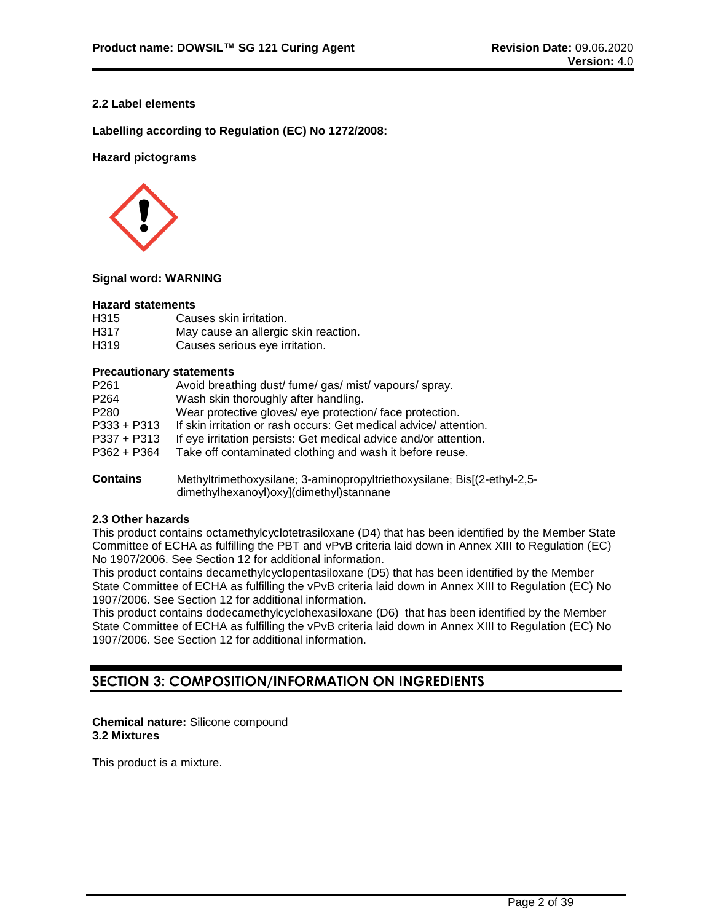# **2.2 Label elements**

**Labelling according to Regulation (EC) No 1272/2008:**

# **Hazard pictograms**



#### **Signal word: WARNING**

#### **Hazard statements**

| H315 | Causes skin irritation.              |
|------|--------------------------------------|
| H317 | May cause an allergic skin reaction. |
| H319 | Causes serious eye irritation.       |

#### **Precautionary statements**

| P <sub>261</sub> | Avoid breathing dust/ fume/ gas/ mist/ vapours/ spray.           |
|------------------|------------------------------------------------------------------|
| P <sub>264</sub> | Wash skin thoroughly after handling.                             |
| P280             | Wear protective gloves/ eye protection/face protection.          |
| $P333 + P313$    | If skin irritation or rash occurs: Get medical advice/attention. |
| $P337 + P313$    | If eye irritation persists: Get medical advice and/or attention. |
| $P362 + P364$    | Take off contaminated clothing and wash it before reuse.         |
|                  |                                                                  |

**Contains** Methyltrimethoxysilane; 3-aminopropyltriethoxysilane; Bis[(2-ethyl-2,5 dimethylhexanoyl)oxy](dimethyl)stannane

# **2.3 Other hazards**

This product contains octamethylcyclotetrasiloxane (D4) that has been identified by the Member State Committee of ECHA as fulfilling the PBT and vPvB criteria laid down in Annex XIII to Regulation (EC) No 1907/2006. See Section 12 for additional information.

This product contains decamethylcyclopentasiloxane (D5) that has been identified by the Member State Committee of ECHA as fulfilling the vPvB criteria laid down in Annex XIII to Regulation (EC) No 1907/2006. See Section 12 for additional information.

This product contains dodecamethylcyclohexasiloxane (D6) that has been identified by the Member State Committee of ECHA as fulfilling the vPvB criteria laid down in Annex XIII to Regulation (EC) No 1907/2006. See Section 12 for additional information.

# **SECTION 3: COMPOSITION/INFORMATION ON INGREDIENTS**

# **Chemical nature:** Silicone compound **3.2 Mixtures**

This product is a mixture.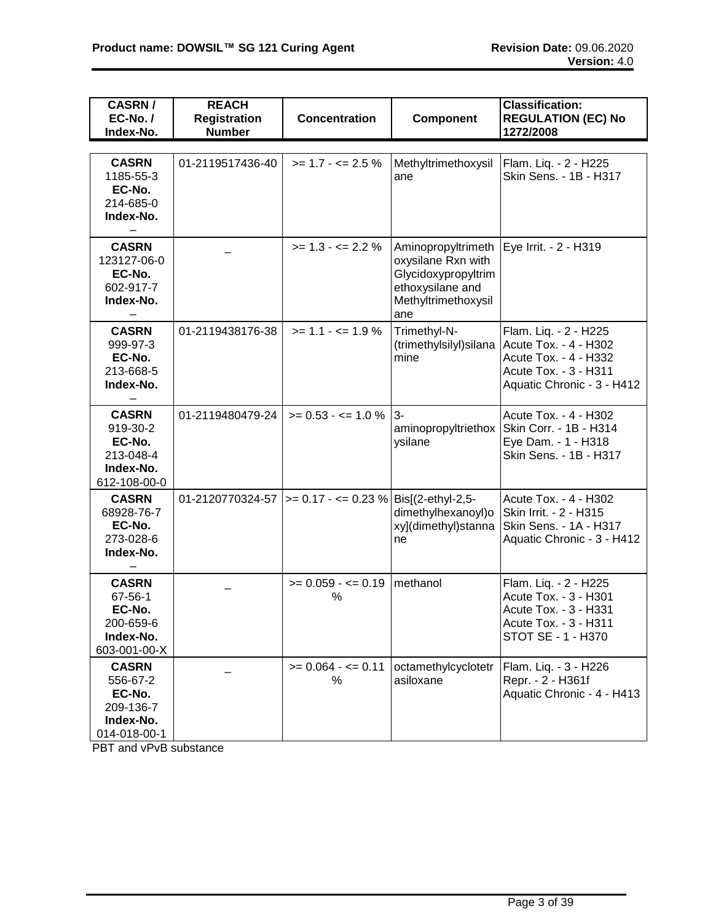| <b>CASRN/</b><br>EC-No./<br>Index-No.                                        | <b>REACH</b><br><b>Registration</b><br><b>Number</b> | <b>Concentration</b>                                      | Component                                                                                                         | <b>Classification:</b><br><b>REGULATION (EC) No</b><br>1272/2008                                                               |  |  |
|------------------------------------------------------------------------------|------------------------------------------------------|-----------------------------------------------------------|-------------------------------------------------------------------------------------------------------------------|--------------------------------------------------------------------------------------------------------------------------------|--|--|
|                                                                              |                                                      |                                                           |                                                                                                                   |                                                                                                                                |  |  |
| <b>CASRN</b><br>1185-55-3<br>EC-No.<br>214-685-0<br>Index-No.                | 01-2119517436-40                                     | $>= 1.7 - \le 2.5 \%$                                     | Methyltrimethoxysil<br>ane                                                                                        | Flam. Liq. - 2 - H225<br>Skin Sens. - 1B - H317                                                                                |  |  |
| <b>CASRN</b><br>123127-06-0<br>EC-No.<br>602-917-7<br>Index-No.              |                                                      | $>= 1.3 - 2.2 \%$                                         | Aminopropyltrimeth<br>oxysilane Rxn with<br>Glycidoxypropyltrim<br>ethoxysilane and<br>Methyltrimethoxysil<br>ane | Eye Irrit. - 2 - H319                                                                                                          |  |  |
| <b>CASRN</b><br>999-97-3<br>EC-No.<br>213-668-5<br>Index-No.                 | 01-2119438176-38<br>$>= 1.1 - \le 1.9 \%$<br>mine    |                                                           | Trimethyl-N-<br>(trimethylsilyl)silana                                                                            | Flam. Liq. - 2 - H225<br>Acute Tox. - 4 - H302<br>Acute Tox. - 4 - H332<br>Acute Tox. - 3 - H311<br>Aquatic Chronic - 3 - H412 |  |  |
| <b>CASRN</b><br>919-30-2<br>EC-No.<br>213-048-4<br>Index-No.<br>612-108-00-0 | 01-2119480479-24                                     | $>= 0.53 - \le 1.0 \%$                                    | $3-$<br>aminopropyltriethox<br>ysilane                                                                            | Acute Tox. - 4 - H302<br>Skin Corr. - 1B - H314<br>Eye Dam. - 1 - H318<br>Skin Sens. - 1B - H317                               |  |  |
| <b>CASRN</b><br>68928-76-7<br>EC-No.<br>273-028-6<br>Index-No.               |                                                      | 01-2120770324-57  >= 0.17 - <= 0.23 %   Bis[(2-ethyl-2,5- | dimethylhexanoyl)o<br>xy](dimethyl)stanna<br>ne                                                                   | Acute Tox. - 4 - H302<br>Skin Irrit. - 2 - H315<br>Skin Sens. - 1A - H317<br>Aquatic Chronic - 3 - H412                        |  |  |
| <b>CASRN</b><br>67-56-1<br>EC-No.<br>200-659-6<br>Index-No.<br>603-001-00-X  |                                                      | $>= 0.059 - \le 0.19$<br>%                                | methanol                                                                                                          | Flam. Liq. - 2 - H225<br>Acute Tox. - 3 - H301<br>Acute Tox. - 3 - H331<br>Acute Tox. - 3 - H311<br>STOT SE - 1 - H370         |  |  |
| <b>CASRN</b><br>556-67-2<br>EC-No.<br>209-136-7<br>Index-No.<br>014-018-00-1 |                                                      | $>= 0.064 - 5 = 0.11$<br>%                                | octamethylcyclotetr<br>asiloxane                                                                                  | Flam. Liq. - 3 - H226<br>Repr. - 2 - H361f<br>Aquatic Chronic - 4 - H413                                                       |  |  |

PBT and vPvB substance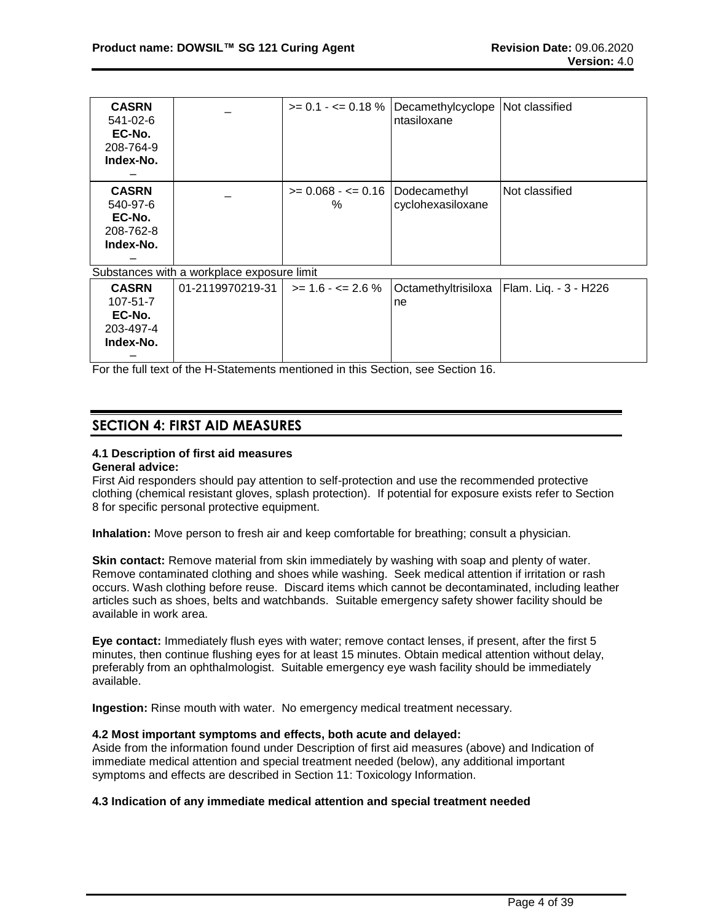| <b>CASRN</b><br>541-02-6<br>EC-No.<br>208-764-9<br>Index-No. |                                            | $>= 0.1 - \le 0.18$ % Decamethylcyclope Not classified<br>ntasiloxane |                |
|--------------------------------------------------------------|--------------------------------------------|-----------------------------------------------------------------------|----------------|
| <b>CASRN</b><br>540-97-6<br>EC-No.<br>208-762-8<br>Index-No. | $>= 0.068 - \le 0.16$ Dodecamethyl<br>$\%$ | cyclohexasiloxane                                                     | Not classified |

Substances with a workplace exposure limit

| <b>CASRN</b>   | 01-2119970219-31 l |     | $\ge$ = 1.6 - <= 2.6 %   Octamethyltrisiloxa   Flam. Lig. - 3 - H226 |
|----------------|--------------------|-----|----------------------------------------------------------------------|
| $107 - 51 - 7$ |                    | Ine |                                                                      |
| EC-No.         |                    |     |                                                                      |
| 203-497-4      |                    |     |                                                                      |
| Index-No.      |                    |     |                                                                      |
|                |                    |     |                                                                      |

For the full text of the H-Statements mentioned in this Section, see Section 16.

# **SECTION 4: FIRST AID MEASURES**

# **4.1 Description of first aid measures**

# **General advice:**

First Aid responders should pay attention to self-protection and use the recommended protective clothing (chemical resistant gloves, splash protection). If potential for exposure exists refer to Section 8 for specific personal protective equipment.

**Inhalation:** Move person to fresh air and keep comfortable for breathing; consult a physician.

**Skin contact:** Remove material from skin immediately by washing with soap and plenty of water. Remove contaminated clothing and shoes while washing. Seek medical attention if irritation or rash occurs. Wash clothing before reuse. Discard items which cannot be decontaminated, including leather articles such as shoes, belts and watchbands. Suitable emergency safety shower facility should be available in work area.

**Eye contact:** Immediately flush eyes with water; remove contact lenses, if present, after the first 5 minutes, then continue flushing eyes for at least 15 minutes. Obtain medical attention without delay, preferably from an ophthalmologist. Suitable emergency eye wash facility should be immediately available.

**Ingestion:** Rinse mouth with water. No emergency medical treatment necessary.

# **4.2 Most important symptoms and effects, both acute and delayed:**

Aside from the information found under Description of first aid measures (above) and Indication of immediate medical attention and special treatment needed (below), any additional important symptoms and effects are described in Section 11: Toxicology Information.

# **4.3 Indication of any immediate medical attention and special treatment needed**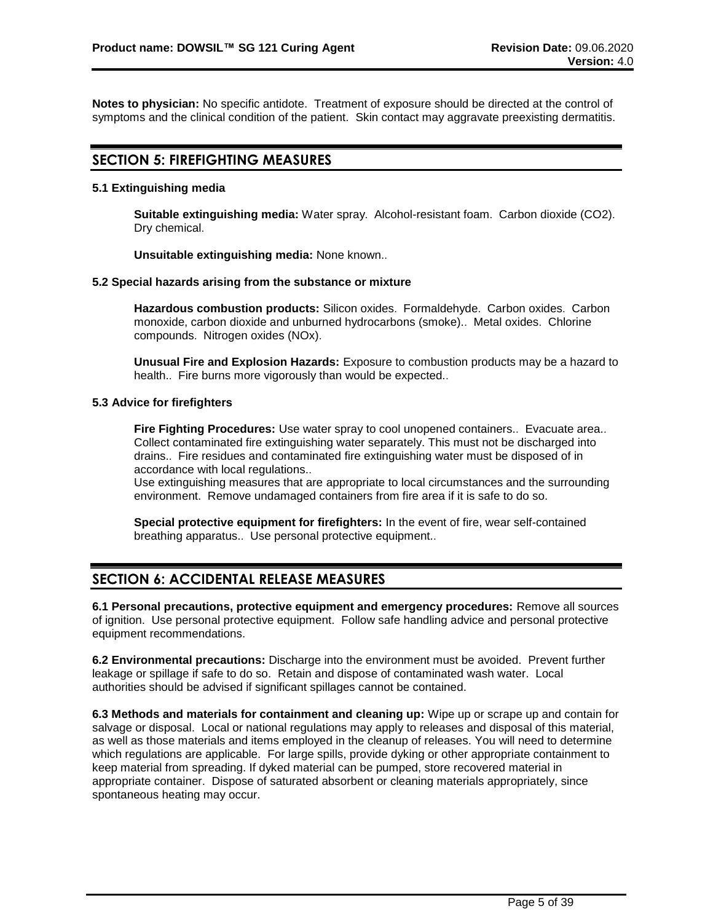**Notes to physician:** No specific antidote. Treatment of exposure should be directed at the control of symptoms and the clinical condition of the patient. Skin contact may aggravate preexisting dermatitis.

# **SECTION 5: FIREFIGHTING MEASURES**

# **5.1 Extinguishing media**

**Suitable extinguishing media:** Water spray. Alcohol-resistant foam. Carbon dioxide (CO2). Dry chemical.

**Unsuitable extinguishing media:** None known..

# **5.2 Special hazards arising from the substance or mixture**

**Hazardous combustion products:** Silicon oxides. Formaldehyde. Carbon oxides. Carbon monoxide, carbon dioxide and unburned hydrocarbons (smoke).. Metal oxides. Chlorine compounds. Nitrogen oxides (NOx).

**Unusual Fire and Explosion Hazards:** Exposure to combustion products may be a hazard to health.. Fire burns more vigorously than would be expected..

# **5.3 Advice for firefighters**

**Fire Fighting Procedures:** Use water spray to cool unopened containers.. Evacuate area.. Collect contaminated fire extinguishing water separately. This must not be discharged into drains.. Fire residues and contaminated fire extinguishing water must be disposed of in accordance with local regulations..

Use extinguishing measures that are appropriate to local circumstances and the surrounding environment. Remove undamaged containers from fire area if it is safe to do so.

**Special protective equipment for firefighters:** In the event of fire, wear self-contained breathing apparatus.. Use personal protective equipment..

# **SECTION 6: ACCIDENTAL RELEASE MEASURES**

**6.1 Personal precautions, protective equipment and emergency procedures:** Remove all sources of ignition. Use personal protective equipment. Follow safe handling advice and personal protective equipment recommendations.

**6.2 Environmental precautions:** Discharge into the environment must be avoided. Prevent further leakage or spillage if safe to do so. Retain and dispose of contaminated wash water. Local authorities should be advised if significant spillages cannot be contained.

**6.3 Methods and materials for containment and cleaning up:** Wipe up or scrape up and contain for salvage or disposal. Local or national regulations may apply to releases and disposal of this material, as well as those materials and items employed in the cleanup of releases. You will need to determine which regulations are applicable. For large spills, provide dyking or other appropriate containment to keep material from spreading. If dyked material can be pumped, store recovered material in appropriate container. Dispose of saturated absorbent or cleaning materials appropriately, since spontaneous heating may occur.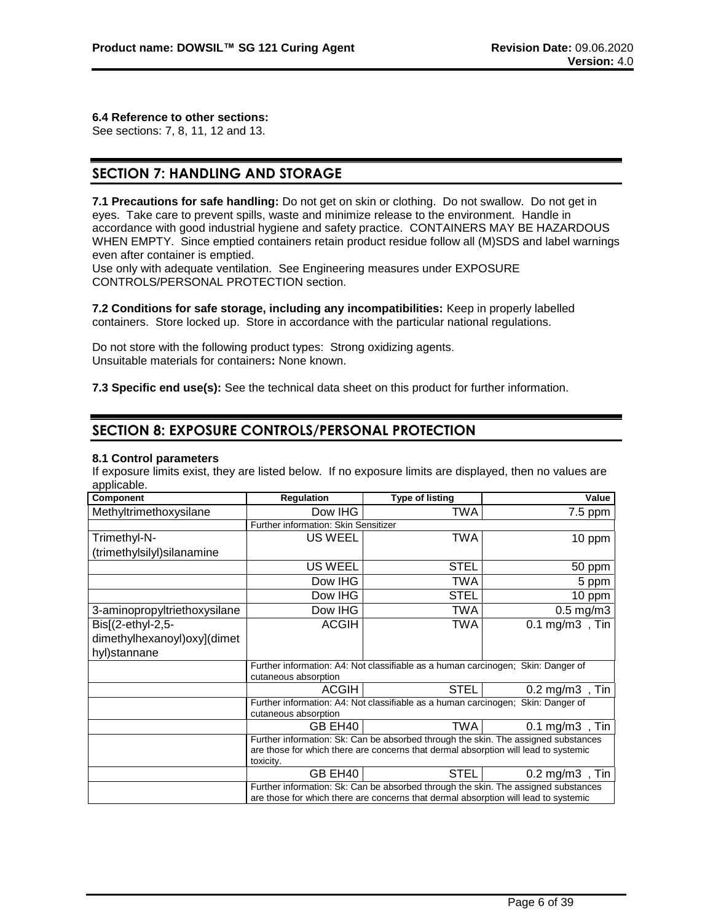# **6.4 Reference to other sections:**

See sections: 7, 8, 11, 12 and 13.

# **SECTION 7: HANDLING AND STORAGE**

**7.1 Precautions for safe handling:** Do not get on skin or clothing. Do not swallow. Do not get in eyes. Take care to prevent spills, waste and minimize release to the environment. Handle in accordance with good industrial hygiene and safety practice. CONTAINERS MAY BE HAZARDOUS WHEN EMPTY. Since emptied containers retain product residue follow all (M)SDS and label warnings even after container is emptied.

Use only with adequate ventilation. See Engineering measures under EXPOSURE CONTROLS/PERSONAL PROTECTION section.

**7.2 Conditions for safe storage, including any incompatibilities:** Keep in properly labelled containers. Store locked up. Store in accordance with the particular national regulations.

Do not store with the following product types: Strong oxidizing agents. Unsuitable materials for containers**:** None known.

**7.3 Specific end use(s):** See the technical data sheet on this product for further information.

# **SECTION 8: EXPOSURE CONTROLS/PERSONAL PROTECTION**

# **8.1 Control parameters**

If exposure limits exist, they are listed below. If no exposure limits are displayed, then no values are applicable.

| <b>Component</b>              | Regulation                           | <b>Type of listing</b>                                                                                                                                                    | Value                                                                              |  |  |  |  |
|-------------------------------|--------------------------------------|---------------------------------------------------------------------------------------------------------------------------------------------------------------------------|------------------------------------------------------------------------------------|--|--|--|--|
| Methyltrimethoxysilane        | Dow IHG                              | TWA                                                                                                                                                                       | $7.5$ ppm                                                                          |  |  |  |  |
|                               | Further information: Skin Sensitizer |                                                                                                                                                                           |                                                                                    |  |  |  |  |
| Trimethyl-N-                  | <b>US WEEL</b>                       | TWA                                                                                                                                                                       | 10 ppm                                                                             |  |  |  |  |
| (trimethylsilyl)silanamine    |                                      |                                                                                                                                                                           |                                                                                    |  |  |  |  |
|                               | US WEEL                              | <b>STEL</b>                                                                                                                                                               | 50 ppm                                                                             |  |  |  |  |
|                               | Dow IHG                              | TWA                                                                                                                                                                       | 5 ppm                                                                              |  |  |  |  |
|                               | Dow IHG                              | STEL                                                                                                                                                                      | 10 ppm                                                                             |  |  |  |  |
| 3-aminopropyltriethoxysilane  | Dow IHG                              | TWA                                                                                                                                                                       | $0.5$ mg/m $3$                                                                     |  |  |  |  |
| Bis[(2-ethyl-2,5-             | <b>ACGIH</b>                         | TWA                                                                                                                                                                       | $0.1 \text{ mg/m3}$ , Tin                                                          |  |  |  |  |
| dimethylhexanoyl) oxy] (dimet |                                      |                                                                                                                                                                           |                                                                                    |  |  |  |  |
| hyl)stannane                  |                                      |                                                                                                                                                                           |                                                                                    |  |  |  |  |
|                               | cutaneous absorption                 | Further information: A4: Not classifiable as a human carcinogen; Skin: Danger of                                                                                          |                                                                                    |  |  |  |  |
|                               | <b>ACGIH</b>                         | <b>STEL</b>                                                                                                                                                               | $0.2 \text{ mg/m3}$ , Tin                                                          |  |  |  |  |
|                               | cutaneous absorption                 | Further information: A4: Not classifiable as a human carcinogen; Skin: Danger of                                                                                          |                                                                                    |  |  |  |  |
|                               | GB EH40                              | TWA                                                                                                                                                                       | $0.1 \text{ mg/m}$ , Tin                                                           |  |  |  |  |
|                               | toxicity.                            | Further information: Sk: Can be absorbed through the skin. The assigned substances<br>are those for which there are concerns that dermal absorption will lead to systemic |                                                                                    |  |  |  |  |
|                               | GB EH40                              | <b>STEL</b>                                                                                                                                                               | $0.2 \text{ mg/m3}$ , Tin                                                          |  |  |  |  |
|                               |                                      | are those for which there are concerns that dermal absorption will lead to systemic                                                                                       | Further information: Sk: Can be absorbed through the skin. The assigned substances |  |  |  |  |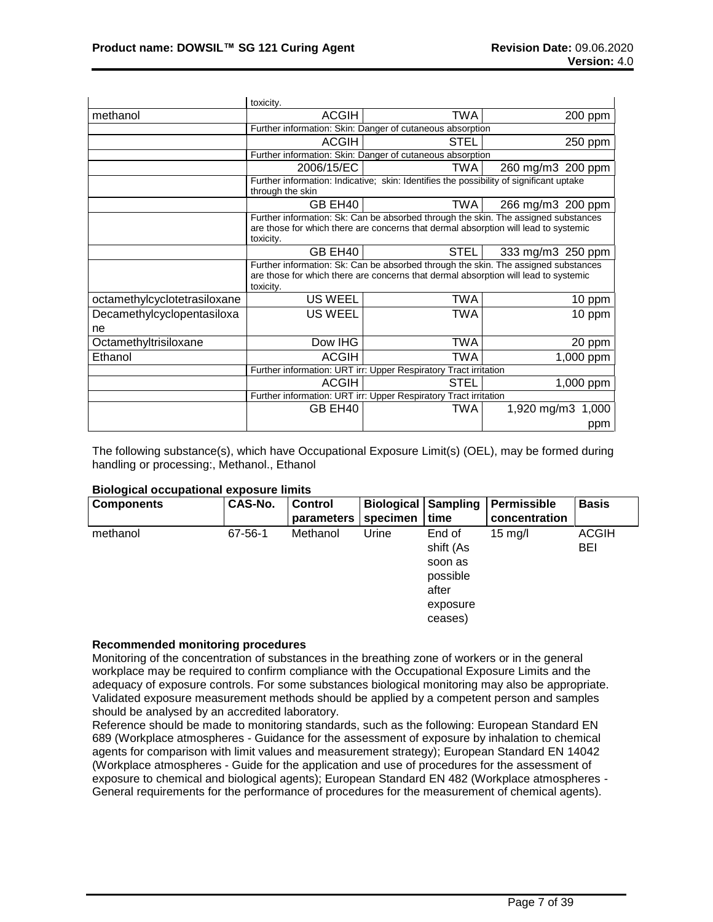|                              | toxicity.                                |                                                                                                                                                                           |                                                                                    |  |  |  |  |  |
|------------------------------|------------------------------------------|---------------------------------------------------------------------------------------------------------------------------------------------------------------------------|------------------------------------------------------------------------------------|--|--|--|--|--|
| methanol                     | <b>ACGIH</b>                             | TWA                                                                                                                                                                       | 200 ppm                                                                            |  |  |  |  |  |
|                              |                                          | Further information: Skin: Danger of cutaneous absorption                                                                                                                 |                                                                                    |  |  |  |  |  |
|                              | <b>ACGIH</b><br><b>STEL</b><br>250 ppm   |                                                                                                                                                                           |                                                                                    |  |  |  |  |  |
|                              |                                          | Further information: Skin: Danger of cutaneous absorption                                                                                                                 |                                                                                    |  |  |  |  |  |
|                              | 2006/15/EC                               | TWA                                                                                                                                                                       | 260 mg/m3 200 ppm                                                                  |  |  |  |  |  |
|                              | through the skin                         | Further information: Indicative; skin: Identifies the possibility of significant uptake                                                                                   |                                                                                    |  |  |  |  |  |
|                              | GB EH40                                  | TWA                                                                                                                                                                       | 266 mg/m3 200 ppm                                                                  |  |  |  |  |  |
|                              | toxicity.                                | Further information: Sk: Can be absorbed through the skin. The assigned substances<br>are those for which there are concerns that dermal absorption will lead to systemic |                                                                                    |  |  |  |  |  |
|                              | GB EH40                                  | <b>STEL</b>                                                                                                                                                               | 333 mg/m3 250 ppm                                                                  |  |  |  |  |  |
|                              | toxicity.                                | are those for which there are concerns that dermal absorption will lead to systemic                                                                                       | Further information: Sk: Can be absorbed through the skin. The assigned substances |  |  |  |  |  |
| octamethylcyclotetrasiloxane | <b>US WEEL</b>                           | <b>TWA</b>                                                                                                                                                                | 10 ppm                                                                             |  |  |  |  |  |
| Decamethylcyclopentasiloxa   | <b>US WEEL</b>                           | TWA                                                                                                                                                                       | 10 ppm                                                                             |  |  |  |  |  |
| ne                           |                                          |                                                                                                                                                                           |                                                                                    |  |  |  |  |  |
| Octamethyltrisiloxane        | Dow IHG                                  | TWA                                                                                                                                                                       | 20 ppm                                                                             |  |  |  |  |  |
| Ethanol                      | <b>ACGIH</b>                             | TWA                                                                                                                                                                       | 1,000 ppm                                                                          |  |  |  |  |  |
|                              |                                          | Further information: URT irr: Upper Respiratory Tract irritation                                                                                                          |                                                                                    |  |  |  |  |  |
|                              | <b>ACGIH</b><br><b>STEL</b><br>1,000 ppm |                                                                                                                                                                           |                                                                                    |  |  |  |  |  |
|                              |                                          | Further information: URT irr: Upper Respiratory Tract irritation                                                                                                          |                                                                                    |  |  |  |  |  |
|                              | GB EH40                                  | TWA                                                                                                                                                                       | 1,920 mg/m3<br>1,000                                                               |  |  |  |  |  |
|                              |                                          |                                                                                                                                                                           | ppm                                                                                |  |  |  |  |  |

The following substance(s), which have Occupational Exposure Limit(s) (OEL), may be formed during handling or processing:, Methanol., Ethanol

#### **Biological occupational exposure limits**

| <b>Components</b> | CAS-No. | <b>Control</b> | <b>Biological Sampling</b> |           | Permissible       | <b>Basis</b> |
|-------------------|---------|----------------|----------------------------|-----------|-------------------|--------------|
|                   |         | parameters     | specimen                   | l time    | concentration     |              |
| methanol          | 67-56-1 | Methanol       | Urine                      | End of    | $15 \text{ mg/l}$ | <b>ACGIH</b> |
|                   |         |                |                            | shift (As |                   | BEI          |
|                   |         |                |                            | soon as   |                   |              |
|                   |         |                |                            | possible  |                   |              |
|                   |         |                |                            | after     |                   |              |
|                   |         |                |                            | exposure  |                   |              |
|                   |         |                |                            | ceases)   |                   |              |

## **Recommended monitoring procedures**

Monitoring of the concentration of substances in the breathing zone of workers or in the general workplace may be required to confirm compliance with the Occupational Exposure Limits and the adequacy of exposure controls. For some substances biological monitoring may also be appropriate. Validated exposure measurement methods should be applied by a competent person and samples should be analysed by an accredited laboratory.

Reference should be made to monitoring standards, such as the following: European Standard EN 689 (Workplace atmospheres - Guidance for the assessment of exposure by inhalation to chemical agents for comparison with limit values and measurement strategy); European Standard EN 14042 (Workplace atmospheres - Guide for the application and use of procedures for the assessment of exposure to chemical and biological agents); European Standard EN 482 (Workplace atmospheres - General requirements for the performance of procedures for the measurement of chemical agents).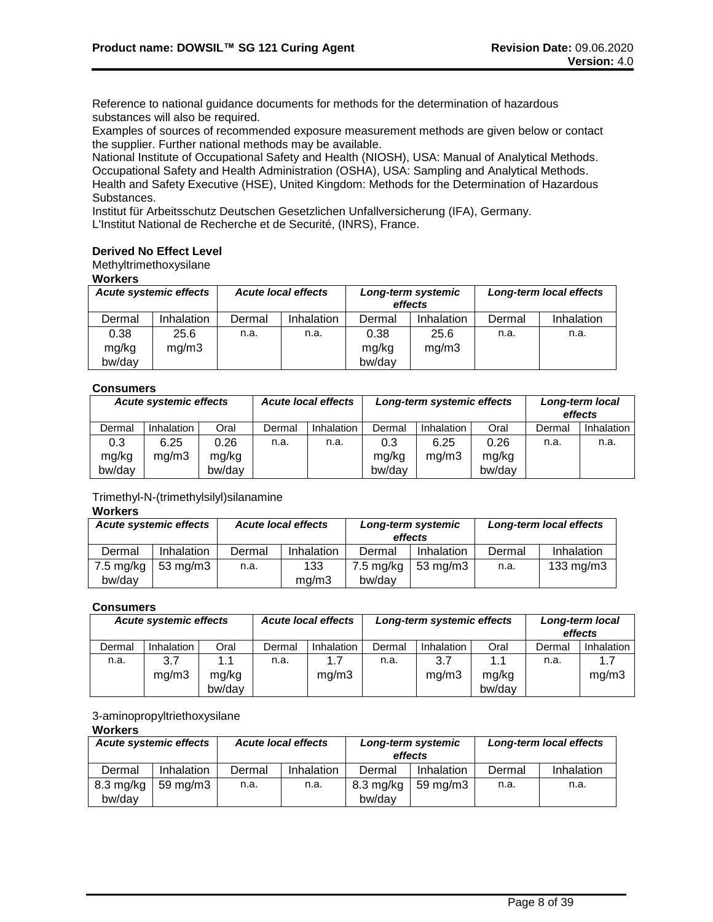Reference to national guidance documents for methods for the determination of hazardous substances will also be required.

Examples of sources of recommended exposure measurement methods are given below or contact the supplier. Further national methods may be available.

National Institute of Occupational Safety and Health (NIOSH), USA: Manual of Analytical Methods. Occupational Safety and Health Administration (OSHA), USA: Sampling and Analytical Methods. Health and Safety Executive (HSE), United Kingdom: Methods for the Determination of Hazardous Substances.

Institut für Arbeitsschutz Deutschen Gesetzlichen Unfallversicherung (IFA), Germany. L'Institut National de Recherche et de Securité, (INRS), France.

# **Derived No Effect Level**

Methyltrimethoxysilane

**Workers**

| <b>Acute systemic effects</b> |                   | <b>Acute local effects</b> |            | Long-term systemic<br>effects |            | Long-term local effects |            |
|-------------------------------|-------------------|----------------------------|------------|-------------------------------|------------|-------------------------|------------|
| Dermal                        | <b>Inhalation</b> | Dermal                     | Inhalation | Dermal                        | Inhalation | Dermal                  | Inhalation |
| 0.38                          | 25.6              | n.a.                       | n.a.       | 0.38                          | 25.6       | n.a.                    | n.a.       |
| mg/kg                         | mq/m3             |                            |            | mg/kg                         | mg/m3      |                         |            |
| bw/day                        |                   |                            |            | bw/day                        |            |                         |            |

# **Consumers**

| <b>Acute systemic effects</b> |            |        | <b>Acute local effects</b><br>Long-term systemic effects |            |        |                   | Long-term local<br>effects |        |                   |  |
|-------------------------------|------------|--------|----------------------------------------------------------|------------|--------|-------------------|----------------------------|--------|-------------------|--|
| Dermal                        | Inhalation | Oral   | Dermal                                                   | Inhalation | Dermal | <b>Inhalation</b> | Oral                       | Dermal | <b>Inhalation</b> |  |
| 0.3                           | 6.25       | 0.26   | n.a.                                                     | n.a.       | 0.3    | 6.25              | 0.26                       | n.a.   | n.a.              |  |
| mg/kg                         | mq/m3      | mg/kg  |                                                          |            | mg/kg  | mg/m3             | mg/kg                      |        |                   |  |
| bw/day                        |            | bw/day |                                                          |            | bw/day |                   | bw/day                     |        |                   |  |

# Trimethyl-N-(trimethylsilyl)silanamine

#### **Workers**

| <b>Acute systemic effects</b> |                   | <b>Acute local effects</b> |            | Long-term systemic<br>effects |             | Long-term local effects |                    |
|-------------------------------|-------------------|----------------------------|------------|-------------------------------|-------------|-------------------------|--------------------|
| Dermal                        | Inhalation        | Dermal                     | Inhalation | Dermal                        | Inhalation  | Dermal                  | Inhalation         |
| $7.5 \text{ mg/kg}$           | $53 \text{ mg/m}$ | n.a.                       | 133        | $7.5 \text{ mg/kg}$           | 53 mg/m $3$ | n.a.                    | $133 \text{ mg/m}$ |
| bw/day                        |                   |                            | ma/m3      | bw/dav                        |             |                         |                    |

#### **Consumers**

| <b>Acute systemic effects</b> |            |                 | <b>Acute local effects</b> | Long-term systemic effects |        | Long-term local<br>effects |                 |        |            |
|-------------------------------|------------|-----------------|----------------------------|----------------------------|--------|----------------------------|-----------------|--------|------------|
| Dermal                        | Inhalation | Oral            | Dermal                     | Inhalation                 | Dermal | Inhalation                 | Oral            | Dermal | Inhalation |
| n.a.                          | 3.7        | 1.1             | n.a.                       | 1.7                        | n.a.   | 3.7                        | 1.1             | n.a.   |            |
|                               | mq/m3      | mg/kg<br>bw/day |                            | mg/m3                      |        | mg/m3                      | mg/kg<br>bw/day |        | mg/m3      |

# 3-aminopropyltriethoxysilane

# **Workers**

| <b>Acute systemic effects</b> |            | <b>Acute local effects</b> |            | Long-term systemic<br>effects |             | Long-term local effects |            |
|-------------------------------|------------|----------------------------|------------|-------------------------------|-------------|-------------------------|------------|
| Dermal                        | Inhalation | Dermal                     | Inhalation | Dermal                        | Inhalation  | Dermal                  | Inhalation |
| $8.3 \text{ mg/kg}$           | 59 mg/m3   | n.a.                       | n.a.       | $8.3 \text{ mg/kg}$           | 59 mg/m $3$ | n.a.                    | n.a.       |
| bw/dav                        |            |                            |            | bw/dav                        |             |                         |            |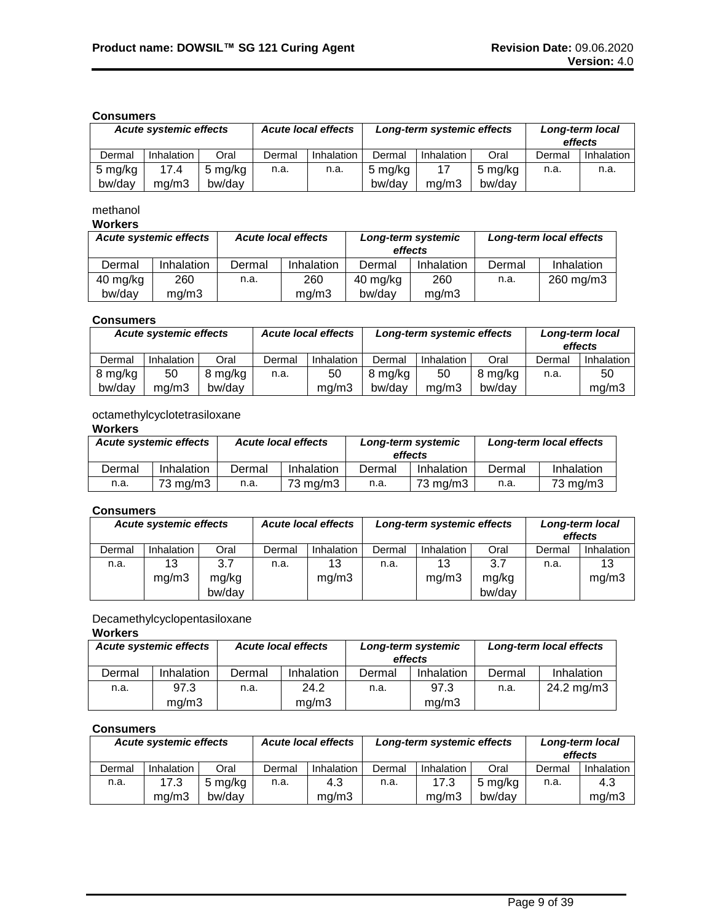# **Consumers**

| <b>Acute systemic effects</b> |                   | <b>Acute local effects</b> |        | Long-term systemic effects |         |            | Long-term local<br>effects |        |            |
|-------------------------------|-------------------|----------------------------|--------|----------------------------|---------|------------|----------------------------|--------|------------|
| Dermal                        | <b>Inhalation</b> | Oral                       | Dermal | Inhalation                 | Dermal  | Inhalation | Oral                       | Dermal | Inhalation |
| 5 mg/kg                       | 17.4              | 5 mg/kg                    | n.a.   | n.a.                       | 5 mg/kg | 17         | 5 mg/kg                    | n.a.   | n.a.       |
| bw/day                        | ma/m3             | bw/day                     |        |                            | bw/day  | ma/m3      | bw/dav                     |        |            |

# methanol

# **Workers**

| <b>Acute systemic effects</b> |            | <b>Acute local effects</b> |            | Long-term systemic<br>effects |            | Long-term local effects |            |
|-------------------------------|------------|----------------------------|------------|-------------------------------|------------|-------------------------|------------|
| Dermal                        | Inhalation | Dermal                     | Inhalation | Dermal                        | Inhalation | Dermal                  | Inhalation |
| 40 mg/kg                      | 260        | n.a.                       | 260        | 40 mg/kg                      | 260        | n.a.                    | 260 mg/m3  |
| bw/day                        | ma/m3      |                            | ma/m3      | bw/dav                        | mq/m3      |                         |            |

# **Consumers**

| <b>Acute systemic effects</b> |            |         | <b>Acute local effects</b> |            | Long-term systemic effects |            |         | Long-term local<br>effects |            |
|-------------------------------|------------|---------|----------------------------|------------|----------------------------|------------|---------|----------------------------|------------|
| Dermal                        | Inhalation | Oral    | Dermal                     | Inhalation | Dermal                     | Inhalation | Oral    | Dermal                     | Inhalation |
| 8 mg/kg                       | 50         | 8 mg/kg | n.a.                       | 50         | 8 mg/kg                    | 50         | 8 mg/kg | n.a.                       | 50         |
| bw/day                        | ma/m3      | bw/day  |                            | mq/m3      | bw/dav                     | ma/m3      | bw/dav  |                            | mq/m3      |

# octamethylcyclotetrasiloxane

# **Workers**

| <b>Acute systemic effects</b> |            | <b>Acute local effects</b> |            |        | Long-term systemic<br>effects | Long-term local effects |            |  |
|-------------------------------|------------|----------------------------|------------|--------|-------------------------------|-------------------------|------------|--|
| Dermal                        | Inhalation | Dermal                     | Inhalation | Dermal | Inhalation                    | Dermal                  | Inhalation |  |
| n.a.                          | 73 mg/m3   | n.a.                       | 73 mg/m3   | n.a.   | $73 \text{ ma/m}$ 3           | n.a.                    | 73 mg/m3   |  |

# **Consumers**

|        | <b>Acute systemic effects</b> |        | <b>Acute local effects</b> |                   | Long-term systemic effects |            |        | Long-term local<br>effects |            |
|--------|-------------------------------|--------|----------------------------|-------------------|----------------------------|------------|--------|----------------------------|------------|
| Dermal | Inhalation                    | Oral   | Dermal                     | <b>Inhalation</b> | Dermal                     | Inhalation | Oral   | Dermal                     | Inhalation |
| n.a.   | 13                            | 3.7    | n.a.                       | 13                | n.a.                       | 13         | 3.7    | n.a.                       | 13         |
|        | mg/m3                         | mg/kg  |                            | mg/m3             |                            | mg/m3      | mg/kg  |                            | mg/m3      |
|        |                               | bw/day |                            |                   |                            |            | bw/day |                            |            |

# Decamethylcyclopentasiloxane

# **Workers**

| <b>Acute systemic effects</b> |            | <b>Acute local effects</b> |                   |        | Long-term systemic<br>effects | Long-term local effects |            |  |
|-------------------------------|------------|----------------------------|-------------------|--------|-------------------------------|-------------------------|------------|--|
| Dermal                        | Inhalation | Dermal                     | <b>Inhalation</b> | Dermal | Inhalation                    | Dermal                  | Inhalation |  |
| n.a.                          | 97.3       | n.a.                       | 24.2              | n.a.   | 97.3                          | n.a.                    | 24.2 mg/m3 |  |
|                               | mq/m3      |                            | mq/m3             |        | mq/m3                         |                         |            |  |

#### **Consumers**

|        | <b>Acute systemic effects</b> |         | <b>Acute local effects</b> |            | Long-term systemic effects |            |         | Long-term local<br>effects |            |
|--------|-------------------------------|---------|----------------------------|------------|----------------------------|------------|---------|----------------------------|------------|
| Dermal | Inhalation                    | Oral    | Dermal                     | Inhalation | Dermal                     | Inhalation | Oral    | Dermal                     | Inhalation |
| n.a.   | 17.3                          | 5 mg/kg | n.a.                       | 4.3        | n.a.                       | 17.3       | 5 mg/kg | n.a.                       | 4.3        |
|        | ma/m3                         | bw/dav  |                            | mg/m3      |                            | ma/m3      | bw/dav  |                            | mq/m3      |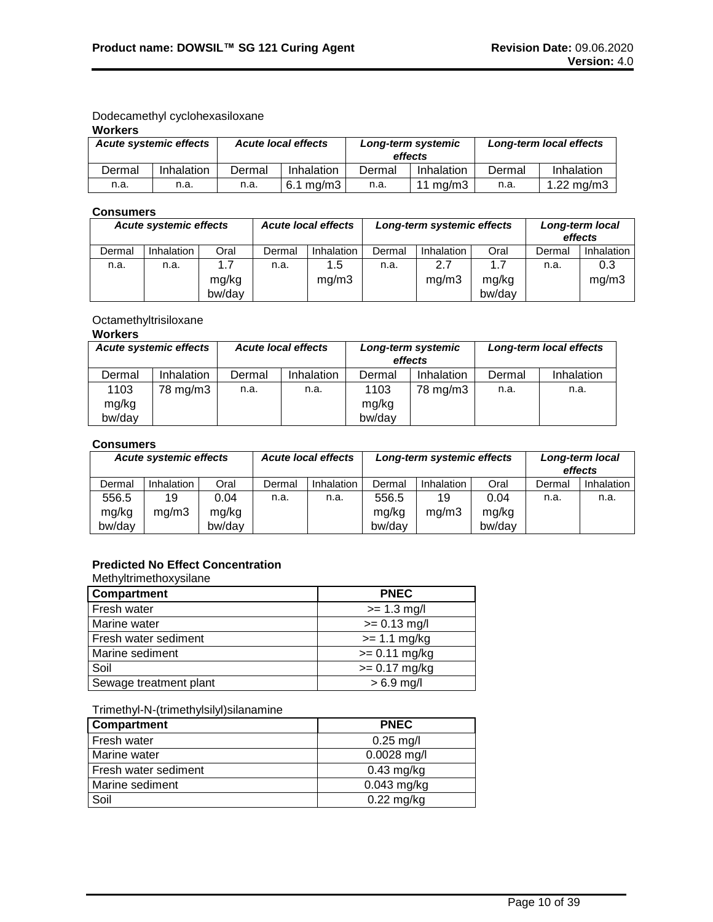# Dodecamethyl cyclohexasiloxane

# **Workers**

| <b>Acute systemic effects</b> |            |        | <b>Acute local effects</b> |        | Long-term systemic<br>effects | Long-term local effects |              |  |
|-------------------------------|------------|--------|----------------------------|--------|-------------------------------|-------------------------|--------------|--|
| Dermal                        | Inhalation | Dermal | Inhalation                 | Dermal | Inhalation                    | Dermal                  | Inhalation   |  |
| n.a.                          | n.a.       | n.a.   | $6.1 \text{ ma/m}$ 3       | n.a.   | 11 mg/m $3$                   | n.a.                    | 1.22 $mg/m3$ |  |

# **Consumers**

| <b>Acute systemic effects</b> |            | <b>Acute local effects</b> |        |                   | Long-term systemic effects | Long-term local<br>effects |        |        |            |
|-------------------------------|------------|----------------------------|--------|-------------------|----------------------------|----------------------------|--------|--------|------------|
| Dermal                        | Inhalation | Oral                       | Dermal | <b>Inhalation</b> | Dermal                     | Inhalation                 | Oral   | Dermal | Inhalation |
| n.a.                          | n.a.       | 1.7                        | n.a.   | 1.5               | n.a.                       | 2.7                        | 1.7    | n.a.   | 0.3        |
|                               |            | mg/kg                      |        | mq/m3             |                            | mg/m3                      | mg/kg  |        | mg/m3      |
|                               |            | bw/day                     |        |                   |                            |                            | bw/day |        |            |

# Octamethyltrisiloxane

# **Workers**

| <b>Acute systemic effects</b> |            | <b>Acute local effects</b> |                   | Long-term systemic<br>effects |            | Long-term local effects |            |  |
|-------------------------------|------------|----------------------------|-------------------|-------------------------------|------------|-------------------------|------------|--|
| Dermal                        | Inhalation | Dermal                     | <b>Inhalation</b> | Dermal                        | Inhalation | Dermal                  | Inhalation |  |
| 1103                          | 78 mg/m3   | n.a.                       | n.a.              | 1103                          | 78 mg/m3   | n.a.                    | n.a.       |  |
| mg/kg                         |            |                            |                   | mg/kg                         |            |                         |            |  |
| bw/day                        |            |                            |                   | bw/day                        |            |                         |            |  |

# **Consumers**

| <b>Acute systemic effects</b> |            |        | <b>Acute local effects</b> |            | Long-term systemic effects |            |        | Long-term local<br>effects |            |
|-------------------------------|------------|--------|----------------------------|------------|----------------------------|------------|--------|----------------------------|------------|
| Dermal                        | Inhalation | Oral   | Dermal                     | Inhalation | Dermal                     | Inhalation | Oral   | Dermal                     | Inhalation |
| 556.5                         | 19         | 0.04   | n.a.                       | n.a.       | 556.5                      | 19         | 0.04   | n.a.                       | n.a.       |
| mg/kg                         | ma/m3      | mg/kg  |                            |            | mg/kg                      | mq/m3      | mg/kg  |                            |            |
| bw/day                        |            | bw/day |                            |            | bw/day                     |            | bw/day |                            |            |

# **Predicted No Effect Concentration**

Methyltrimethoxysilane

| Compartment            | <b>PNEC</b>     |
|------------------------|-----------------|
| Fresh water            | $>= 1.3$ mg/l   |
| Marine water           | $>= 0.13$ mg/l  |
| Fresh water sediment   | $>= 1.1$ mg/kg  |
| Marine sediment        | $>= 0.11$ mg/kg |
| Soil                   | $>= 0.17$ mg/kg |
| Sewage treatment plant | $> 6.9$ mg/l    |

# Trimethyl-N-(trimethylsilyl)silanamine

| Compartment          | <b>PNEC</b>   |
|----------------------|---------------|
| Fresh water          | $0.25$ mg/l   |
| Marine water         | $0.0028$ mg/l |
| Fresh water sediment | $0.43$ mg/kg  |
| Marine sediment      | $0.043$ mg/kg |
| Soil                 | $0.22$ mg/kg  |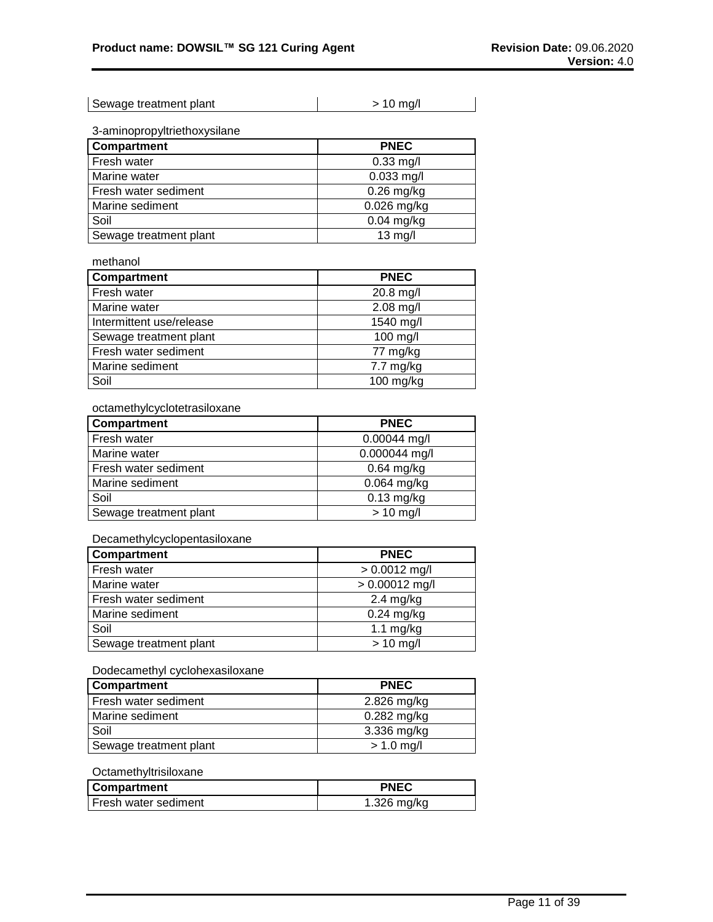| Sewage treatment plant | $> 10$ mg/l |
|------------------------|-------------|
|------------------------|-------------|

3-aminopropyltriethoxysilane

| Compartment            | <b>PNEC</b>   |
|------------------------|---------------|
| Fresh water            | $0.33$ mg/l   |
| Marine water           | $0.033$ mg/l  |
| Fresh water sediment   | $0.26$ mg/kg  |
| Marine sediment        | $0.026$ mg/kg |
| Soil                   | $0.04$ mg/kg  |
| Sewage treatment plant | $13$ mg/l     |

methanol

| <b>Compartment</b>       | <b>PNEC</b>         |
|--------------------------|---------------------|
| Fresh water              | 20.8 mg/l           |
| Marine water             | $2.08$ mg/l         |
| Intermittent use/release | 1540 mg/l           |
| Sewage treatment plant   | 100 mg/l            |
| Fresh water sediment     | 77 mg/kg            |
| Marine sediment          | $7.7 \text{ mg/kg}$ |
| Soil                     | $100$ mg/kg         |

# octamethylcyclotetrasiloxane

| Compartment            | <b>PNEC</b>   |
|------------------------|---------------|
| Fresh water            | 0.00044 mg/l  |
| Marine water           | 0.000044 mg/l |
| Fresh water sediment   | $0.64$ mg/kg  |
| Marine sediment        | $0.064$ mg/kg |
| Soil                   | $0.13$ mg/kg  |
| Sewage treatment plant | $> 10$ mg/l   |

#### Decamethylcyclopentasiloxane

| Compartment            | <b>PNEC</b>      |
|------------------------|------------------|
| Fresh water            | $> 0.0012$ mg/l  |
| Marine water           | $> 0.00012$ mg/l |
| Fresh water sediment   | $2.4$ mg/kg      |
| Marine sediment        | $0.24$ mg/kg     |
| Soil                   | 1.1 $mg/kg$      |
| Sewage treatment plant | $> 10$ mg/l      |

# Dodecamethyl cyclohexasiloxane

| <b>Compartment</b>     | <b>PNEC</b>   |
|------------------------|---------------|
| Fresh water sediment   | 2.826 mg/kg   |
| Marine sediment        | $0.282$ mg/kg |
| Soil                   | 3.336 mg/kg   |
| Sewage treatment plant | $> 1.0$ mg/l  |

# **Octamethyltrisiloxane**

| <b>Compartment</b>     | PNEC          |
|------------------------|---------------|
| l Fresh water sediment | $1.326$ mg/kg |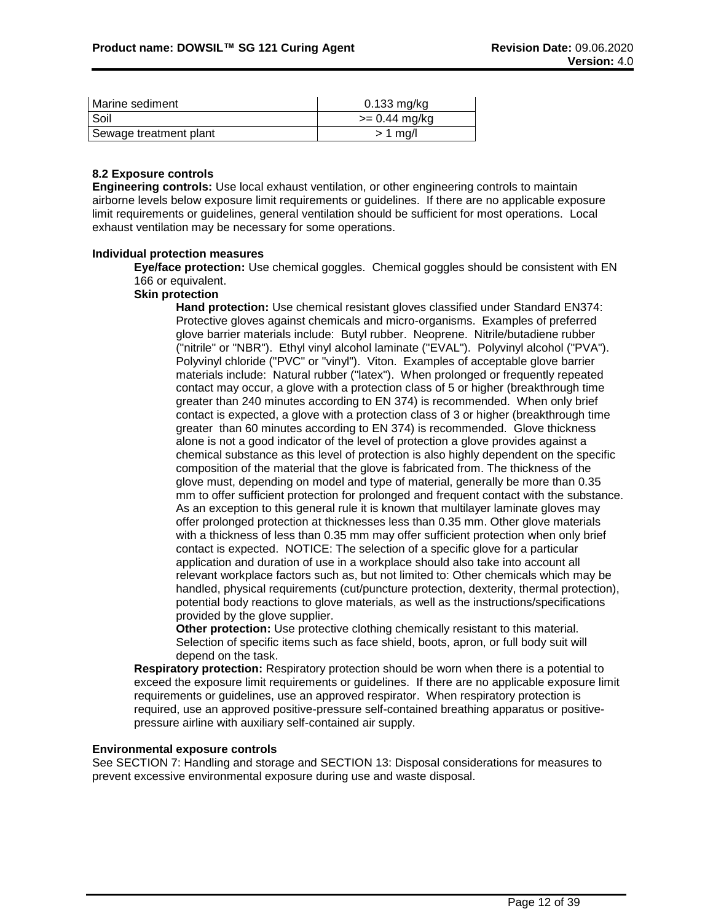| Marine sediment        | $0.133$ mg/kg   |
|------------------------|-----------------|
| Soil                   | $>= 0.44$ mg/kg |
| Sewage treatment plant | $> 1$ mg/       |

# **8.2 Exposure controls**

**Engineering controls:** Use local exhaust ventilation, or other engineering controls to maintain airborne levels below exposure limit requirements or guidelines. If there are no applicable exposure limit requirements or guidelines, general ventilation should be sufficient for most operations. Local exhaust ventilation may be necessary for some operations.

# **Individual protection measures**

**Eye/face protection:** Use chemical goggles. Chemical goggles should be consistent with EN 166 or equivalent.

# **Skin protection**

**Hand protection:** Use chemical resistant gloves classified under Standard EN374: Protective gloves against chemicals and micro-organisms. Examples of preferred glove barrier materials include: Butyl rubber. Neoprene. Nitrile/butadiene rubber ("nitrile" or "NBR"). Ethyl vinyl alcohol laminate ("EVAL"). Polyvinyl alcohol ("PVA"). Polyvinyl chloride ("PVC" or "vinyl"). Viton. Examples of acceptable glove barrier materials include: Natural rubber ("latex"). When prolonged or frequently repeated contact may occur, a glove with a protection class of 5 or higher (breakthrough time greater than 240 minutes according to EN 374) is recommended. When only brief contact is expected, a glove with a protection class of 3 or higher (breakthrough time greater than 60 minutes according to EN 374) is recommended. Glove thickness alone is not a good indicator of the level of protection a glove provides against a chemical substance as this level of protection is also highly dependent on the specific composition of the material that the glove is fabricated from. The thickness of the glove must, depending on model and type of material, generally be more than 0.35 mm to offer sufficient protection for prolonged and frequent contact with the substance. As an exception to this general rule it is known that multilayer laminate gloves may offer prolonged protection at thicknesses less than 0.35 mm. Other glove materials with a thickness of less than 0.35 mm may offer sufficient protection when only brief contact is expected. NOTICE: The selection of a specific glove for a particular application and duration of use in a workplace should also take into account all relevant workplace factors such as, but not limited to: Other chemicals which may be handled, physical requirements (cut/puncture protection, dexterity, thermal protection), potential body reactions to glove materials, as well as the instructions/specifications provided by the glove supplier.

**Other protection:** Use protective clothing chemically resistant to this material. Selection of specific items such as face shield, boots, apron, or full body suit will depend on the task.

**Respiratory protection:** Respiratory protection should be worn when there is a potential to exceed the exposure limit requirements or guidelines. If there are no applicable exposure limit requirements or guidelines, use an approved respirator. When respiratory protection is required, use an approved positive-pressure self-contained breathing apparatus or positivepressure airline with auxiliary self-contained air supply.

# **Environmental exposure controls**

See SECTION 7: Handling and storage and SECTION 13: Disposal considerations for measures to prevent excessive environmental exposure during use and waste disposal.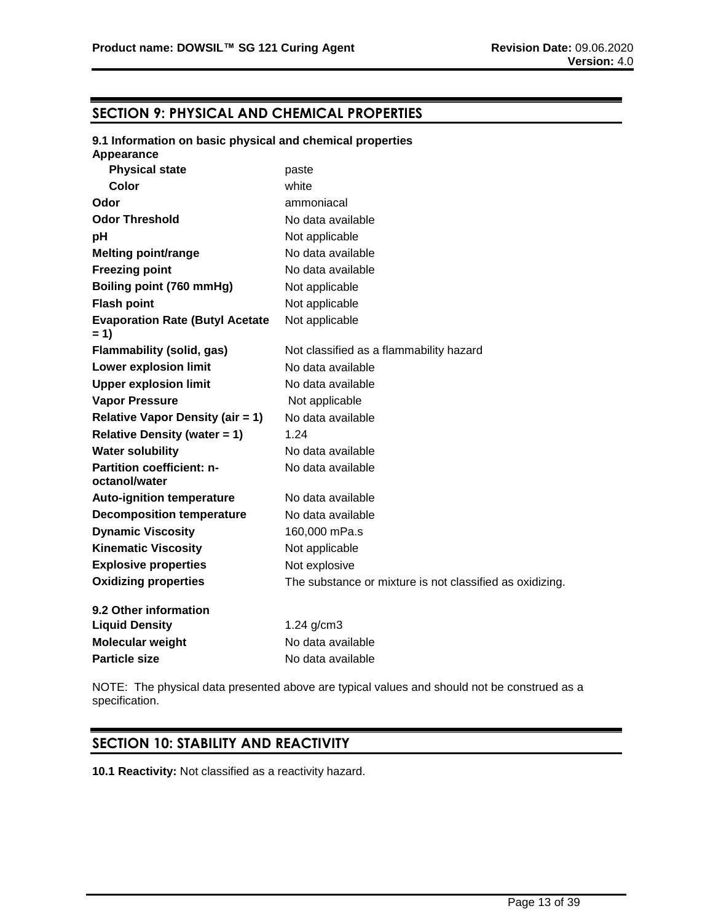# **SECTION 9: PHYSICAL AND CHEMICAL PROPERTIES**

# **9.1 Information on basic physical and chemical properties Appearance Physical state** paste **Color** white **Odor** ammoniacal **Odor Threshold** No data available **pH** Not applicable **Melting point/range** No data available **Freezing point** No data available **Boiling point (760 mmHg)** Not applicable **Flash point** Not applicable **Evaporation Rate (Butyl Acetate = 1)** Not applicable **Flammability (solid, gas)** Not classified as a flammability hazard **Lower explosion limit** No data available **Upper explosion limit** No data available **Vapor Pressure** Not applicable **Relative Vapor Density (air = 1)** No data available **Relative Density (water = 1)** 1.24 **Water solubility** No data available **Partition coefficient: noctanol/water** No data available **Auto-ignition temperature** No data available **Decomposition temperature** No data available **Dynamic Viscosity** 160,000 mPa.s **Kinematic Viscosity** Not applicable **Explosive properties** Not explosive **Oxidizing properties** The substance or mixture is not classified as oxidizing. **9.2 Other information Liquid Density** 1.24 g/cm3 **Molecular weight** No data available **Particle size** No data available

NOTE: The physical data presented above are typical values and should not be construed as a specification.

# **SECTION 10: STABILITY AND REACTIVITY**

**10.1 Reactivity:** Not classified as a reactivity hazard.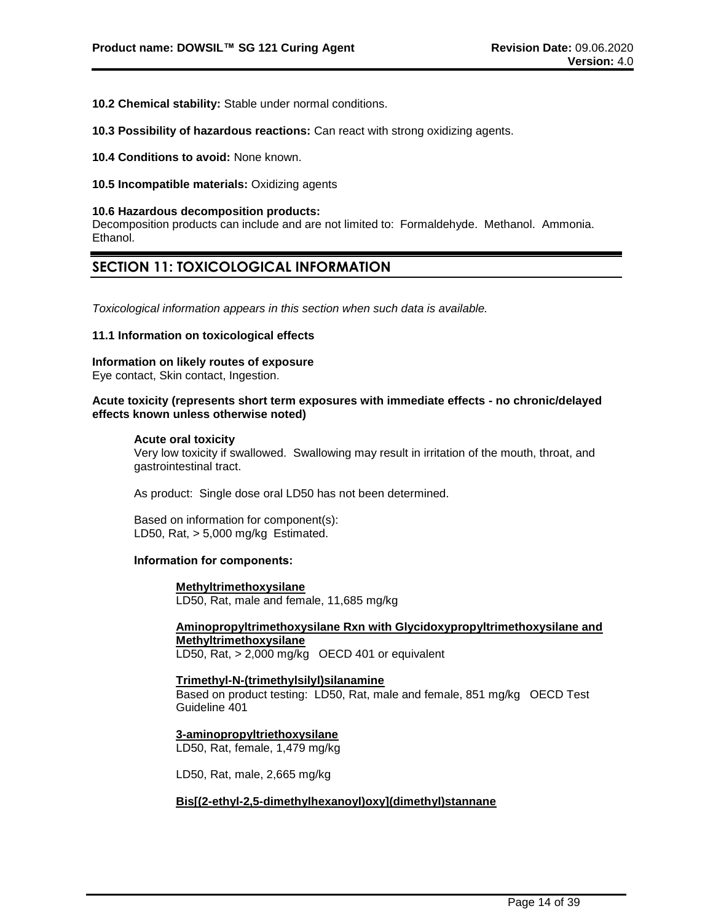- **10.2 Chemical stability:** Stable under normal conditions.
- **10.3 Possibility of hazardous reactions:** Can react with strong oxidizing agents.
- **10.4 Conditions to avoid:** None known.
- **10.5 Incompatible materials:** Oxidizing agents

#### **10.6 Hazardous decomposition products:**

Decomposition products can include and are not limited to: Formaldehyde. Methanol. Ammonia. Ethanol.

# **SECTION 11: TOXICOLOGICAL INFORMATION**

*Toxicological information appears in this section when such data is available.*

# **11.1 Information on toxicological effects**

**Information on likely routes of exposure**

Eye contact, Skin contact, Ingestion.

# **Acute toxicity (represents short term exposures with immediate effects - no chronic/delayed effects known unless otherwise noted)**

#### **Acute oral toxicity**

Very low toxicity if swallowed. Swallowing may result in irritation of the mouth, throat, and gastrointestinal tract.

As product: Single dose oral LD50 has not been determined.

Based on information for component(s): LD50, Rat, > 5,000 mg/kg Estimated.

# **Information for components:**

# **Methyltrimethoxysilane**

LD50, Rat, male and female, 11,685 mg/kg

# **Aminopropyltrimethoxysilane Rxn with Glycidoxypropyltrimethoxysilane and Methyltrimethoxysilane**

LD50, Rat, > 2,000 mg/kg OECD 401 or equivalent

# **Trimethyl-N-(trimethylsilyl)silanamine**

Based on product testing: LD50, Rat, male and female, 851 mg/kg OECD Test Guideline 401

#### **3-aminopropyltriethoxysilane** LD50, Rat, female, 1,479 mg/kg

# LD50, Rat, male, 2,665 mg/kg

# **Bis[(2-ethyl-2,5-dimethylhexanoyl)oxy](dimethyl)stannane**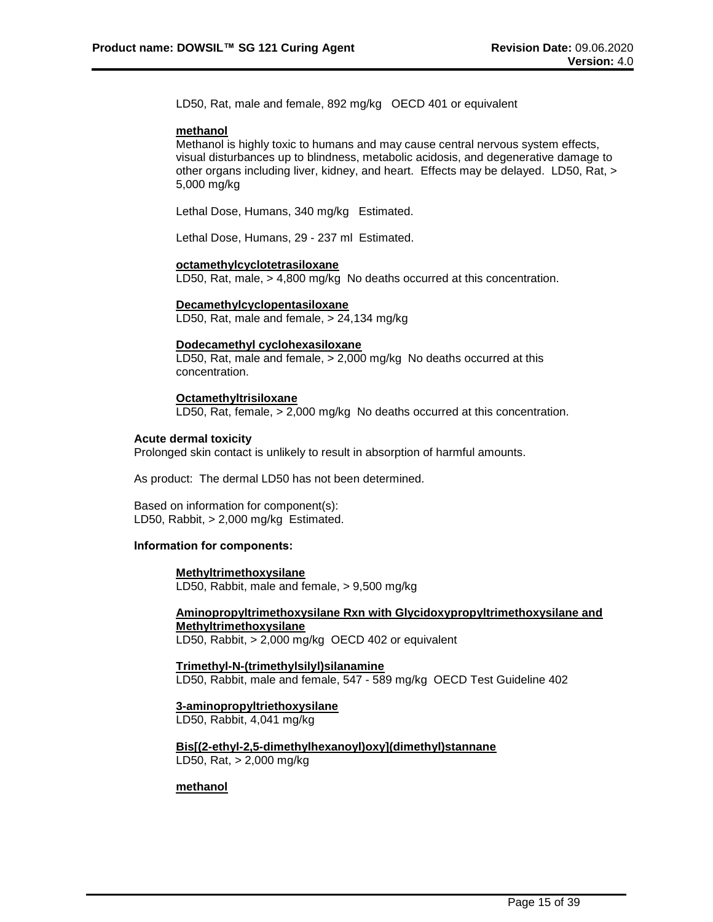LD50, Rat, male and female, 892 mg/kg OECD 401 or equivalent

#### **methanol**

Methanol is highly toxic to humans and may cause central nervous system effects, visual disturbances up to blindness, metabolic acidosis, and degenerative damage to other organs including liver, kidney, and heart. Effects may be delayed. LD50, Rat, > 5,000 mg/kg

Lethal Dose, Humans, 340 mg/kg Estimated.

Lethal Dose, Humans, 29 - 237 ml Estimated.

# **octamethylcyclotetrasiloxane**

LD50, Rat, male, > 4,800 mg/kg No deaths occurred at this concentration.

# **Decamethylcyclopentasiloxane**

LD50, Rat, male and female, > 24,134 mg/kg

# **Dodecamethyl cyclohexasiloxane**

LD50, Rat, male and female, > 2,000 mg/kg No deaths occurred at this concentration.

# **Octamethyltrisiloxane**

LD50, Rat, female, > 2,000 mg/kg No deaths occurred at this concentration.

# **Acute dermal toxicity**

Prolonged skin contact is unlikely to result in absorption of harmful amounts.

As product: The dermal LD50 has not been determined.

Based on information for component(s): LD50, Rabbit, > 2,000 mg/kg Estimated.

## **Information for components:**

# **Methyltrimethoxysilane**

LD50, Rabbit, male and female, > 9,500 mg/kg

# **Aminopropyltrimethoxysilane Rxn with Glycidoxypropyltrimethoxysilane and Methyltrimethoxysilane**

LD50, Rabbit, > 2,000 mg/kg OECD 402 or equivalent

**Trimethyl-N-(trimethylsilyl)silanamine** LD50, Rabbit, male and female, 547 - 589 mg/kg OECD Test Guideline 402

# **3-aminopropyltriethoxysilane**

LD50, Rabbit, 4,041 mg/kg

**Bis[(2-ethyl-2,5-dimethylhexanoyl)oxy](dimethyl)stannane** LD50, Rat, > 2,000 mg/kg

# **methanol**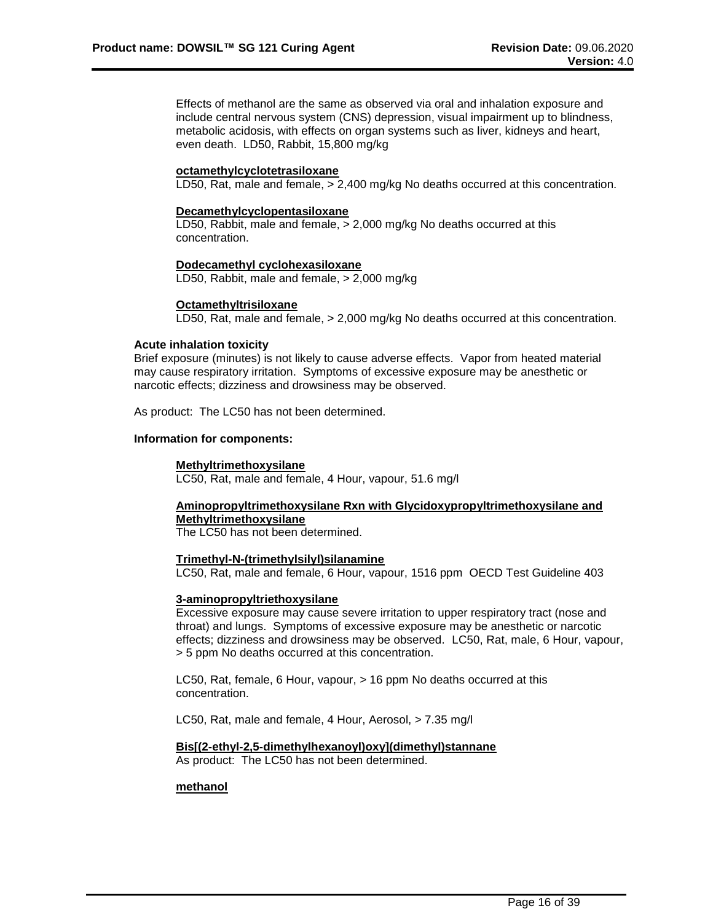Effects of methanol are the same as observed via oral and inhalation exposure and include central nervous system (CNS) depression, visual impairment up to blindness, metabolic acidosis, with effects on organ systems such as liver, kidneys and heart, even death. LD50, Rabbit, 15,800 mg/kg

## **octamethylcyclotetrasiloxane**

LD50, Rat, male and female, > 2,400 mg/kg No deaths occurred at this concentration.

#### **Decamethylcyclopentasiloxane**

LD50, Rabbit, male and female, > 2,000 mg/kg No deaths occurred at this concentration.

# **Dodecamethyl cyclohexasiloxane**

LD50, Rabbit, male and female, > 2,000 mg/kg

## **Octamethyltrisiloxane**

LD50, Rat, male and female, > 2,000 mg/kg No deaths occurred at this concentration.

#### **Acute inhalation toxicity**

Brief exposure (minutes) is not likely to cause adverse effects. Vapor from heated material may cause respiratory irritation. Symptoms of excessive exposure may be anesthetic or narcotic effects; dizziness and drowsiness may be observed.

As product: The LC50 has not been determined.

#### **Information for components:**

#### **Methyltrimethoxysilane**

LC50, Rat, male and female, 4 Hour, vapour, 51.6 mg/l

# **Aminopropyltrimethoxysilane Rxn with Glycidoxypropyltrimethoxysilane and Methyltrimethoxysilane**

The LC50 has not been determined.

## **Trimethyl-N-(trimethylsilyl)silanamine**

LC50, Rat, male and female, 6 Hour, vapour, 1516 ppm OECD Test Guideline 403

#### **3-aminopropyltriethoxysilane**

Excessive exposure may cause severe irritation to upper respiratory tract (nose and throat) and lungs. Symptoms of excessive exposure may be anesthetic or narcotic effects; dizziness and drowsiness may be observed. LC50, Rat, male, 6 Hour, vapour, > 5 ppm No deaths occurred at this concentration.

LC50, Rat, female, 6 Hour, vapour, > 16 ppm No deaths occurred at this concentration.

LC50, Rat, male and female, 4 Hour, Aerosol, > 7.35 mg/l

#### **Bis[(2-ethyl-2,5-dimethylhexanoyl)oxy](dimethyl)stannane**

As product: The LC50 has not been determined.

# **methanol**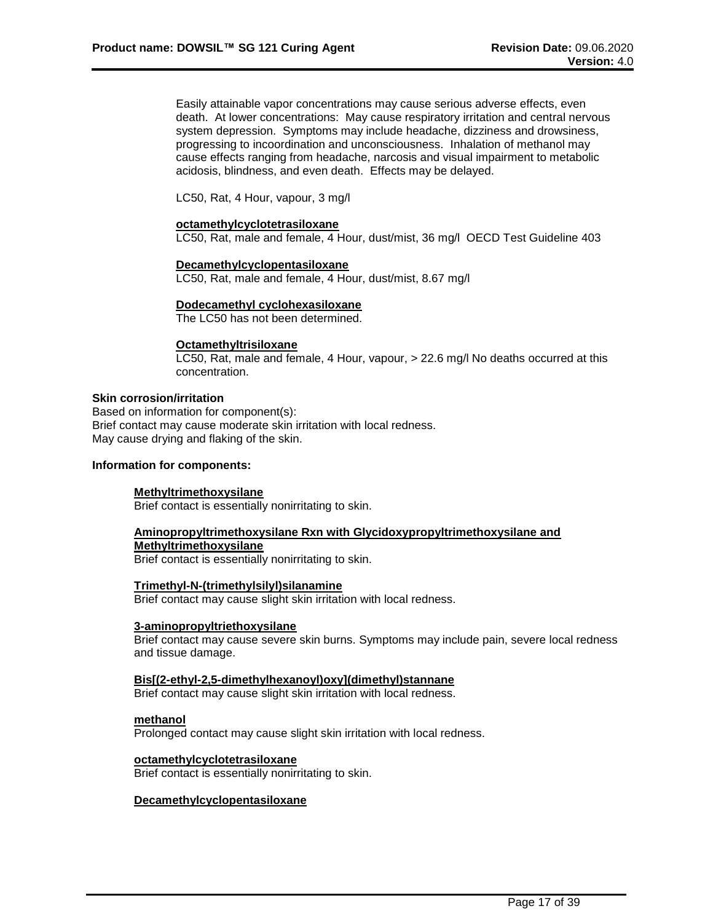Easily attainable vapor concentrations may cause serious adverse effects, even death. At lower concentrations: May cause respiratory irritation and central nervous system depression. Symptoms may include headache, dizziness and drowsiness, progressing to incoordination and unconsciousness. Inhalation of methanol may cause effects ranging from headache, narcosis and visual impairment to metabolic acidosis, blindness, and even death. Effects may be delayed.

LC50, Rat, 4 Hour, vapour, 3 mg/l

#### **octamethylcyclotetrasiloxane**

LC50, Rat, male and female, 4 Hour, dust/mist, 36 mg/l OECD Test Guideline 403

# **Decamethylcyclopentasiloxane**

LC50, Rat, male and female, 4 Hour, dust/mist, 8.67 mg/l

#### **Dodecamethyl cyclohexasiloxane**

The LC50 has not been determined.

# **Octamethyltrisiloxane**

LC50, Rat, male and female, 4 Hour, vapour, > 22.6 mg/l No deaths occurred at this concentration.

# **Skin corrosion/irritation**

Based on information for component(s): Brief contact may cause moderate skin irritation with local redness. May cause drying and flaking of the skin.

# **Information for components:**

#### **Methyltrimethoxysilane**

Brief contact is essentially nonirritating to skin.

## **Aminopropyltrimethoxysilane Rxn with Glycidoxypropyltrimethoxysilane and**

**Methyltrimethoxysilane**

Brief contact is essentially nonirritating to skin.

#### **Trimethyl-N-(trimethylsilyl)silanamine**

Brief contact may cause slight skin irritation with local redness.

#### **3-aminopropyltriethoxysilane**

Brief contact may cause severe skin burns. Symptoms may include pain, severe local redness and tissue damage.

# **Bis[(2-ethyl-2,5-dimethylhexanoyl)oxy](dimethyl)stannane**

Brief contact may cause slight skin irritation with local redness.

# **methanol**

Prolonged contact may cause slight skin irritation with local redness.

#### **octamethylcyclotetrasiloxane**

Brief contact is essentially nonirritating to skin.

# **Decamethylcyclopentasiloxane**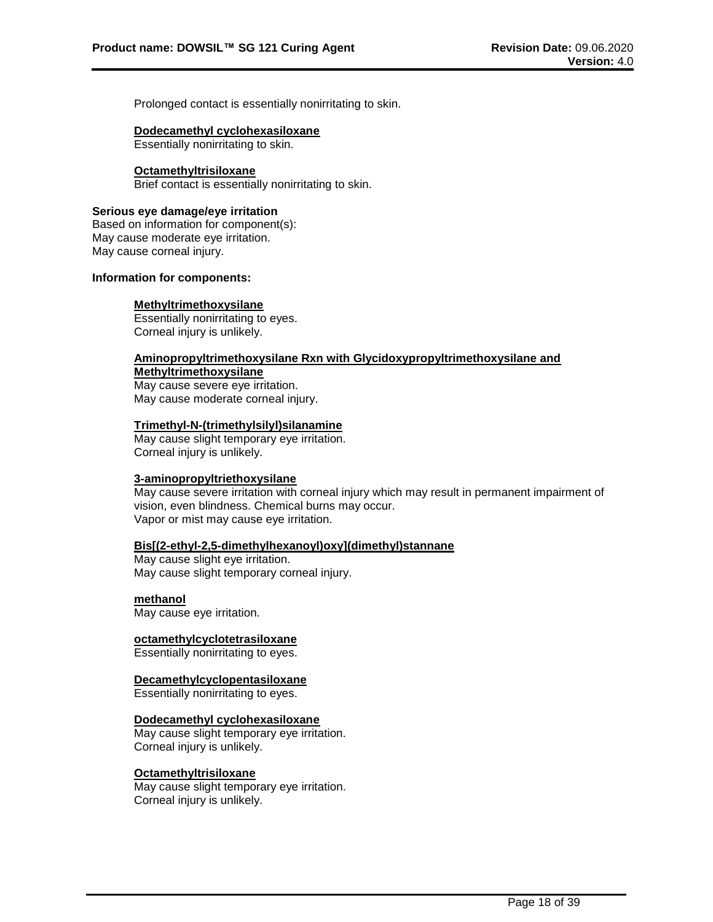Prolonged contact is essentially nonirritating to skin.

#### **Dodecamethyl cyclohexasiloxane**

Essentially nonirritating to skin.

#### **Octamethyltrisiloxane**

Brief contact is essentially nonirritating to skin.

#### **Serious eye damage/eye irritation**

Based on information for component(s): May cause moderate eye irritation. May cause corneal injury.

# **Information for components:**

#### **Methyltrimethoxysilane**

Essentially nonirritating to eyes. Corneal injury is unlikely.

# **Aminopropyltrimethoxysilane Rxn with Glycidoxypropyltrimethoxysilane and Methyltrimethoxysilane**

May cause severe eye irritation. May cause moderate corneal injury.

# **Trimethyl-N-(trimethylsilyl)silanamine**

May cause slight temporary eye irritation. Corneal injury is unlikely.

# **3-aminopropyltriethoxysilane**

May cause severe irritation with corneal injury which may result in permanent impairment of vision, even blindness. Chemical burns may occur. Vapor or mist may cause eye irritation.

# **Bis[(2-ethyl-2,5-dimethylhexanoyl)oxy](dimethyl)stannane**

May cause slight eye irritation. May cause slight temporary corneal injury.

#### **methanol**

May cause eye irritation.

# **octamethylcyclotetrasiloxane**

Essentially nonirritating to eyes.

# **Decamethylcyclopentasiloxane**

Essentially nonirritating to eyes.

# **Dodecamethyl cyclohexasiloxane**

May cause slight temporary eye irritation. Corneal injury is unlikely.

#### **Octamethyltrisiloxane**

May cause slight temporary eye irritation. Corneal injury is unlikely.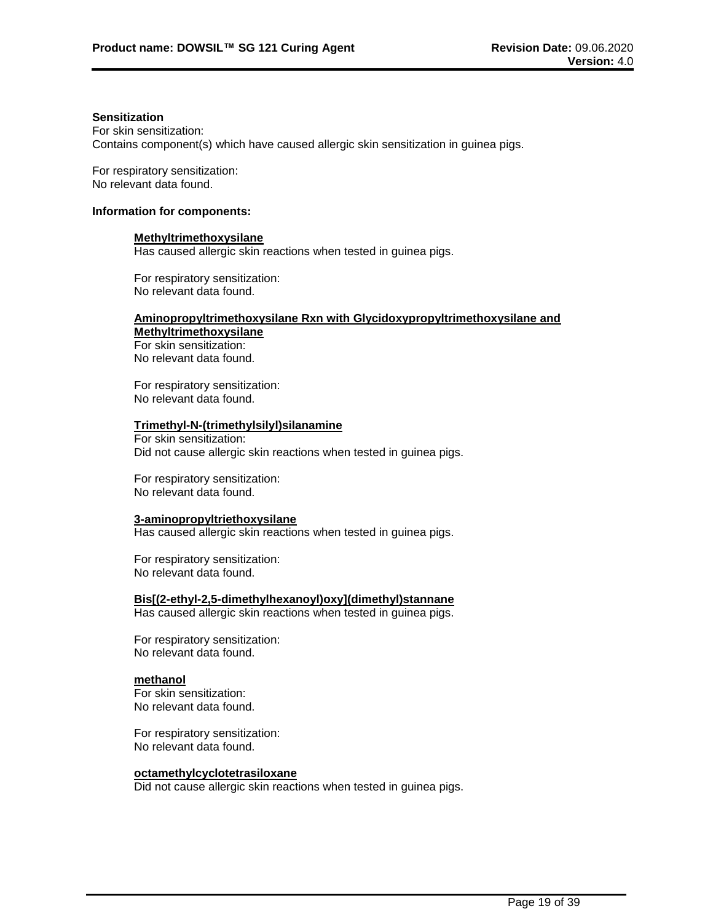# **Sensitization**

For skin sensitization: Contains component(s) which have caused allergic skin sensitization in guinea pigs.

For respiratory sensitization: No relevant data found.

# **Information for components:**

#### **Methyltrimethoxysilane**

Has caused allergic skin reactions when tested in guinea pigs.

For respiratory sensitization: No relevant data found.

# **Aminopropyltrimethoxysilane Rxn with Glycidoxypropyltrimethoxysilane and Methyltrimethoxysilane**

For skin sensitization: No relevant data found.

For respiratory sensitization: No relevant data found.

# **Trimethyl-N-(trimethylsilyl)silanamine**

For skin sensitization: Did not cause allergic skin reactions when tested in guinea pigs.

For respiratory sensitization: No relevant data found.

# **3-aminopropyltriethoxysilane**

Has caused allergic skin reactions when tested in guinea pigs.

For respiratory sensitization: No relevant data found.

**Bis[(2-ethyl-2,5-dimethylhexanoyl)oxy](dimethyl)stannane** Has caused allergic skin reactions when tested in guinea pigs.

For respiratory sensitization: No relevant data found.

# **methanol**

For skin sensitization: No relevant data found.

For respiratory sensitization: No relevant data found.

#### **octamethylcyclotetrasiloxane**

Did not cause allergic skin reactions when tested in guinea pigs.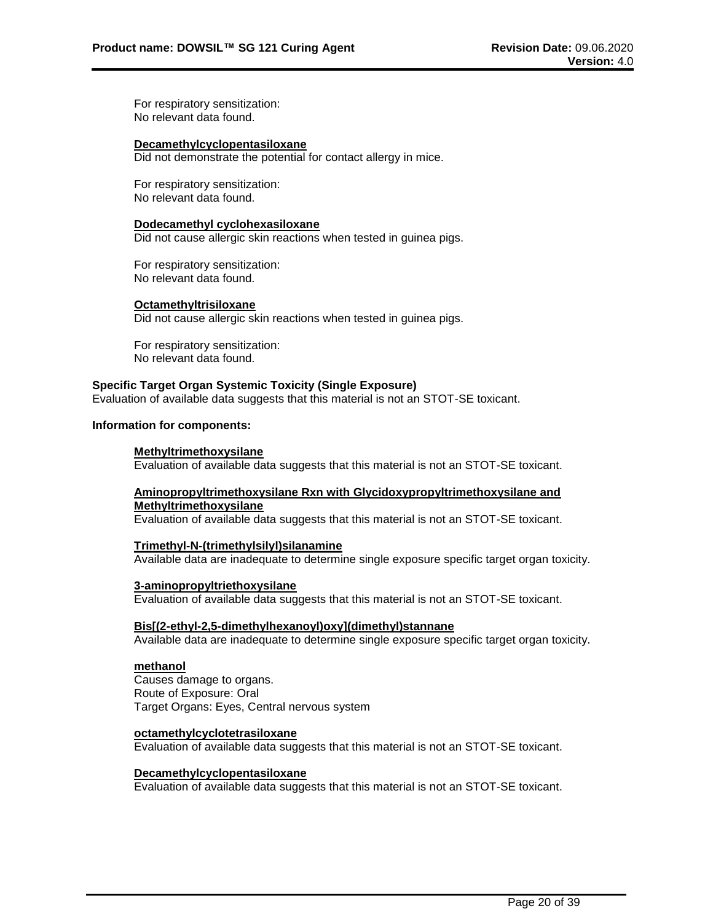For respiratory sensitization: No relevant data found.

#### **Decamethylcyclopentasiloxane**

Did not demonstrate the potential for contact allergy in mice.

For respiratory sensitization: No relevant data found.

#### **Dodecamethyl cyclohexasiloxane**

Did not cause allergic skin reactions when tested in guinea pigs.

For respiratory sensitization: No relevant data found.

#### **Octamethyltrisiloxane**

Did not cause allergic skin reactions when tested in guinea pigs.

For respiratory sensitization: No relevant data found.

# **Specific Target Organ Systemic Toxicity (Single Exposure)**

Evaluation of available data suggests that this material is not an STOT-SE toxicant.

# **Information for components:**

#### **Methyltrimethoxysilane**

Evaluation of available data suggests that this material is not an STOT-SE toxicant.

# **Aminopropyltrimethoxysilane Rxn with Glycidoxypropyltrimethoxysilane and Methyltrimethoxysilane**

Evaluation of available data suggests that this material is not an STOT-SE toxicant.

#### **Trimethyl-N-(trimethylsilyl)silanamine**

Available data are inadequate to determine single exposure specific target organ toxicity.

#### **3-aminopropyltriethoxysilane**

Evaluation of available data suggests that this material is not an STOT-SE toxicant.

#### **Bis[(2-ethyl-2,5-dimethylhexanoyl)oxy](dimethyl)stannane**

Available data are inadequate to determine single exposure specific target organ toxicity.

#### **methanol**

Causes damage to organs. Route of Exposure: Oral Target Organs: Eyes, Central nervous system

#### **octamethylcyclotetrasiloxane**

Evaluation of available data suggests that this material is not an STOT-SE toxicant.

#### **Decamethylcyclopentasiloxane**

Evaluation of available data suggests that this material is not an STOT-SE toxicant.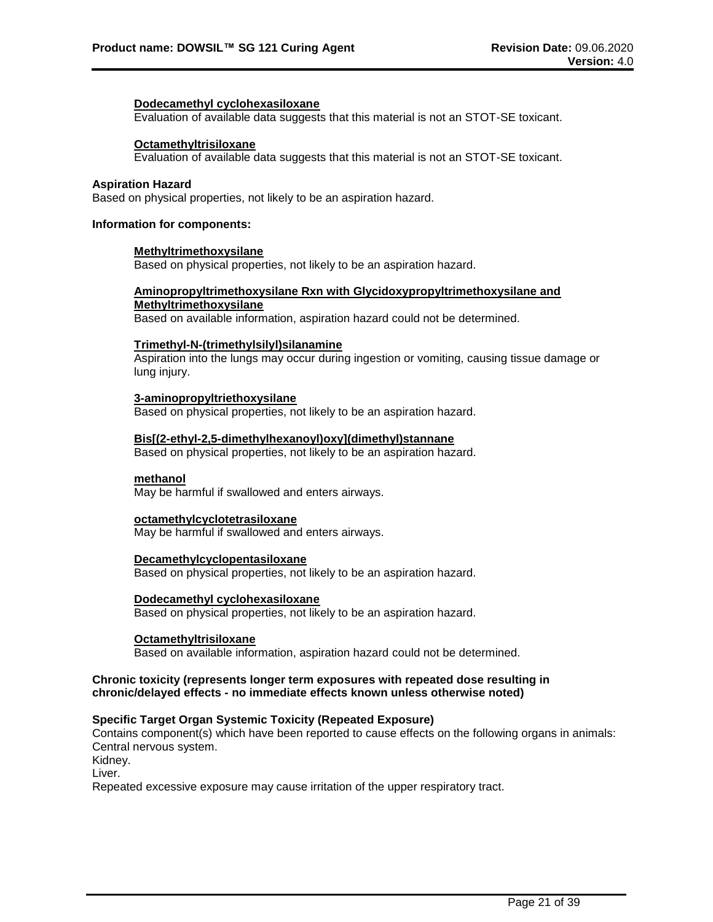#### **Dodecamethyl cyclohexasiloxane**

Evaluation of available data suggests that this material is not an STOT-SE toxicant.

#### **Octamethyltrisiloxane**

Evaluation of available data suggests that this material is not an STOT-SE toxicant.

# **Aspiration Hazard**

Based on physical properties, not likely to be an aspiration hazard.

# **Information for components:**

#### **Methyltrimethoxysilane**

Based on physical properties, not likely to be an aspiration hazard.

# **Aminopropyltrimethoxysilane Rxn with Glycidoxypropyltrimethoxysilane and**

# **Methyltrimethoxysilane**

Based on available information, aspiration hazard could not be determined.

#### **Trimethyl-N-(trimethylsilyl)silanamine**

Aspiration into the lungs may occur during ingestion or vomiting, causing tissue damage or lung injury.

#### **3-aminopropyltriethoxysilane**

Based on physical properties, not likely to be an aspiration hazard.

# **Bis[(2-ethyl-2,5-dimethylhexanoyl)oxy](dimethyl)stannane**

Based on physical properties, not likely to be an aspiration hazard.

#### **methanol**

May be harmful if swallowed and enters airways.

#### **octamethylcyclotetrasiloxane**

May be harmful if swallowed and enters airways.

#### **Decamethylcyclopentasiloxane**

Based on physical properties, not likely to be an aspiration hazard.

#### **Dodecamethyl cyclohexasiloxane**

Based on physical properties, not likely to be an aspiration hazard.

# **Octamethyltrisiloxane**

Based on available information, aspiration hazard could not be determined.

# **Chronic toxicity (represents longer term exposures with repeated dose resulting in chronic/delayed effects - no immediate effects known unless otherwise noted)**

## **Specific Target Organ Systemic Toxicity (Repeated Exposure)**

Contains component(s) which have been reported to cause effects on the following organs in animals: Central nervous system.

Kidney.

Liver.

Repeated excessive exposure may cause irritation of the upper respiratory tract.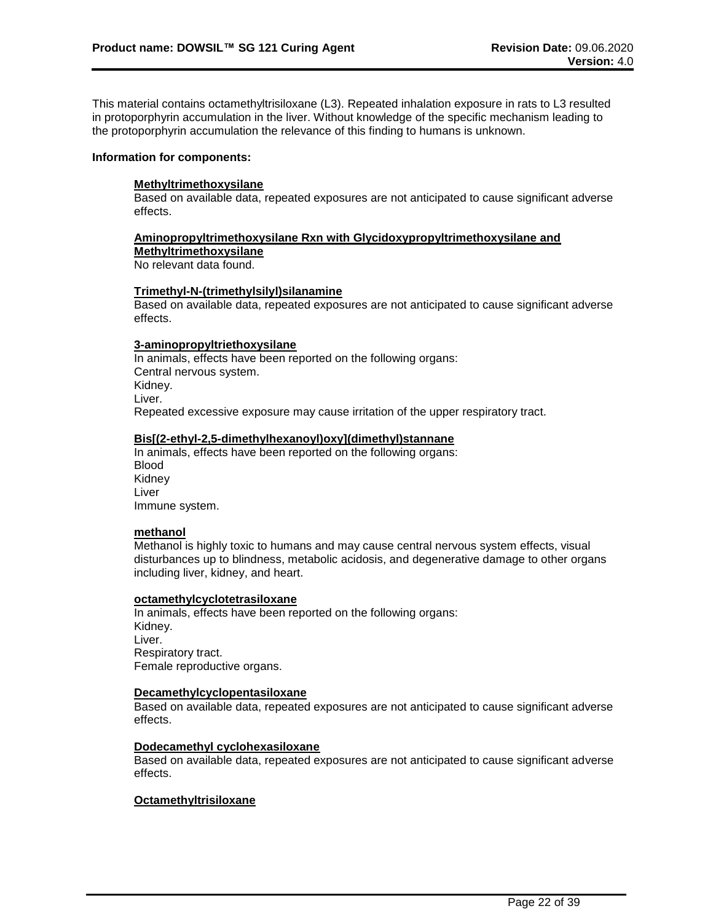This material contains octamethyltrisiloxane (L3). Repeated inhalation exposure in rats to L3 resulted in protoporphyrin accumulation in the liver. Without knowledge of the specific mechanism leading to the protoporphyrin accumulation the relevance of this finding to humans is unknown.

#### **Information for components:**

# **Methyltrimethoxysilane**

Based on available data, repeated exposures are not anticipated to cause significant adverse effects.

#### **Aminopropyltrimethoxysilane Rxn with Glycidoxypropyltrimethoxysilane and**

**Methyltrimethoxysilane**

No relevant data found.

#### **Trimethyl-N-(trimethylsilyl)silanamine**

Based on available data, repeated exposures are not anticipated to cause significant adverse effects.

#### **3-aminopropyltriethoxysilane**

In animals, effects have been reported on the following organs: Central nervous system. Kidney. Liver. Repeated excessive exposure may cause irritation of the upper respiratory tract.

# **Bis[(2-ethyl-2,5-dimethylhexanoyl)oxy](dimethyl)stannane**

In animals, effects have been reported on the following organs: Blood Kidney Liver Immune system.

#### **methanol**

Methanol is highly toxic to humans and may cause central nervous system effects, visual disturbances up to blindness, metabolic acidosis, and degenerative damage to other organs including liver, kidney, and heart.

#### **octamethylcyclotetrasiloxane**

In animals, effects have been reported on the following organs: Kidney. Liver. Respiratory tract. Female reproductive organs.

# **Decamethylcyclopentasiloxane**

Based on available data, repeated exposures are not anticipated to cause significant adverse effects.

#### **Dodecamethyl cyclohexasiloxane**

Based on available data, repeated exposures are not anticipated to cause significant adverse effects.

# **Octamethyltrisiloxane**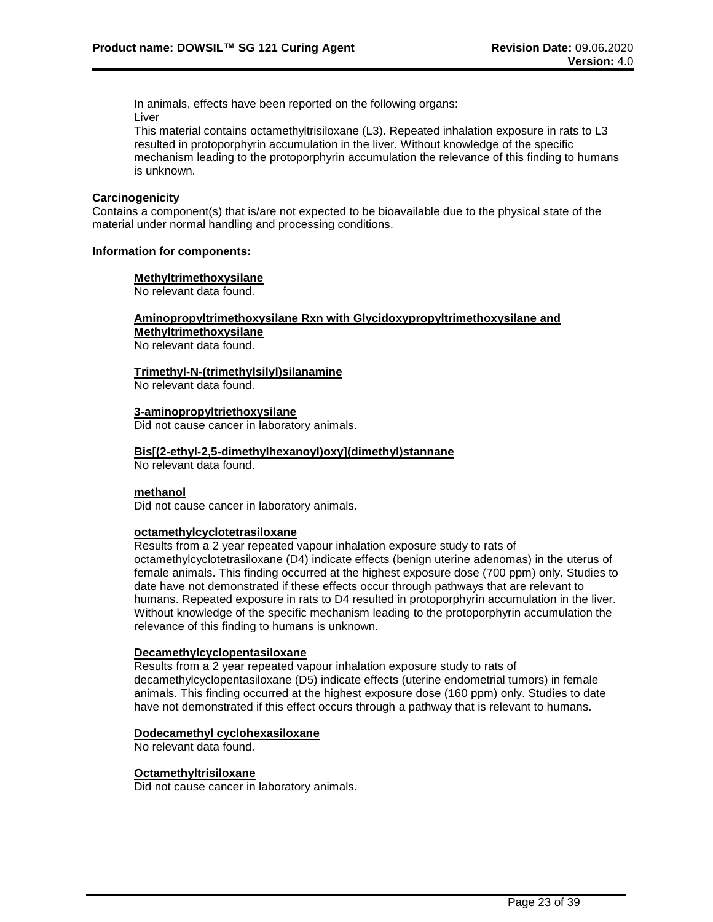In animals, effects have been reported on the following organs: Liver

This material contains octamethyltrisiloxane (L3). Repeated inhalation exposure in rats to L3 resulted in protoporphyrin accumulation in the liver. Without knowledge of the specific mechanism leading to the protoporphyrin accumulation the relevance of this finding to humans is unknown.

## **Carcinogenicity**

Contains a component(s) that is/are not expected to be bioavailable due to the physical state of the material under normal handling and processing conditions.

#### **Information for components:**

#### **Methyltrimethoxysilane**

No relevant data found.

# **Aminopropyltrimethoxysilane Rxn with Glycidoxypropyltrimethoxysilane and Methyltrimethoxysilane**

No relevant data found.

# **Trimethyl-N-(trimethylsilyl)silanamine**

No relevant data found.

#### **3-aminopropyltriethoxysilane**

Did not cause cancer in laboratory animals.

#### **Bis[(2-ethyl-2,5-dimethylhexanoyl)oxy](dimethyl)stannane**

No relevant data found.

# **methanol**

Did not cause cancer in laboratory animals.

## **octamethylcyclotetrasiloxane**

Results from a 2 year repeated vapour inhalation exposure study to rats of octamethylcyclotetrasiloxane (D4) indicate effects (benign uterine adenomas) in the uterus of female animals. This finding occurred at the highest exposure dose (700 ppm) only. Studies to date have not demonstrated if these effects occur through pathways that are relevant to humans. Repeated exposure in rats to D4 resulted in protoporphyrin accumulation in the liver. Without knowledge of the specific mechanism leading to the protoporphyrin accumulation the relevance of this finding to humans is unknown.

# **Decamethylcyclopentasiloxane**

Results from a 2 year repeated vapour inhalation exposure study to rats of decamethylcyclopentasiloxane (D5) indicate effects (uterine endometrial tumors) in female animals. This finding occurred at the highest exposure dose (160 ppm) only. Studies to date have not demonstrated if this effect occurs through a pathway that is relevant to humans.

#### **Dodecamethyl cyclohexasiloxane**

No relevant data found.

#### **Octamethyltrisiloxane**

Did not cause cancer in laboratory animals.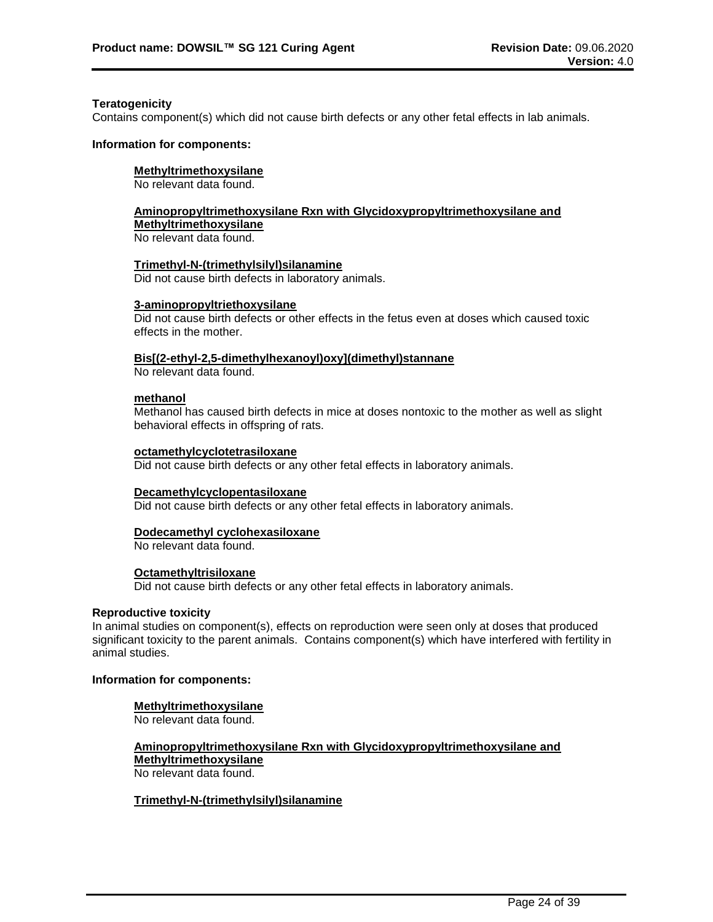#### **Teratogenicity**

Contains component(s) which did not cause birth defects or any other fetal effects in lab animals.

#### **Information for components:**

# **Methyltrimethoxysilane**

No relevant data found.

# **Aminopropyltrimethoxysilane Rxn with Glycidoxypropyltrimethoxysilane and Methyltrimethoxysilane**

No relevant data found.

**Trimethyl-N-(trimethylsilyl)silanamine** Did not cause birth defects in laboratory animals.

# **3-aminopropyltriethoxysilane**

Did not cause birth defects or other effects in the fetus even at doses which caused toxic effects in the mother.

# **Bis[(2-ethyl-2,5-dimethylhexanoyl)oxy](dimethyl)stannane**

No relevant data found.

# **methanol**

Methanol has caused birth defects in mice at doses nontoxic to the mother as well as slight behavioral effects in offspring of rats.

# **octamethylcyclotetrasiloxane**

Did not cause birth defects or any other fetal effects in laboratory animals.

# **Decamethylcyclopentasiloxane**

Did not cause birth defects or any other fetal effects in laboratory animals.

# **Dodecamethyl cyclohexasiloxane**

No relevant data found.

# **Octamethyltrisiloxane**

Did not cause birth defects or any other fetal effects in laboratory animals.

#### **Reproductive toxicity**

In animal studies on component(s), effects on reproduction were seen only at doses that produced significant toxicity to the parent animals. Contains component(s) which have interfered with fertility in animal studies.

# **Information for components:**

# **Methyltrimethoxysilane**

No relevant data found.

## **Aminopropyltrimethoxysilane Rxn with Glycidoxypropyltrimethoxysilane and Methyltrimethoxysilane** No relevant data found.

# **Trimethyl-N-(trimethylsilyl)silanamine**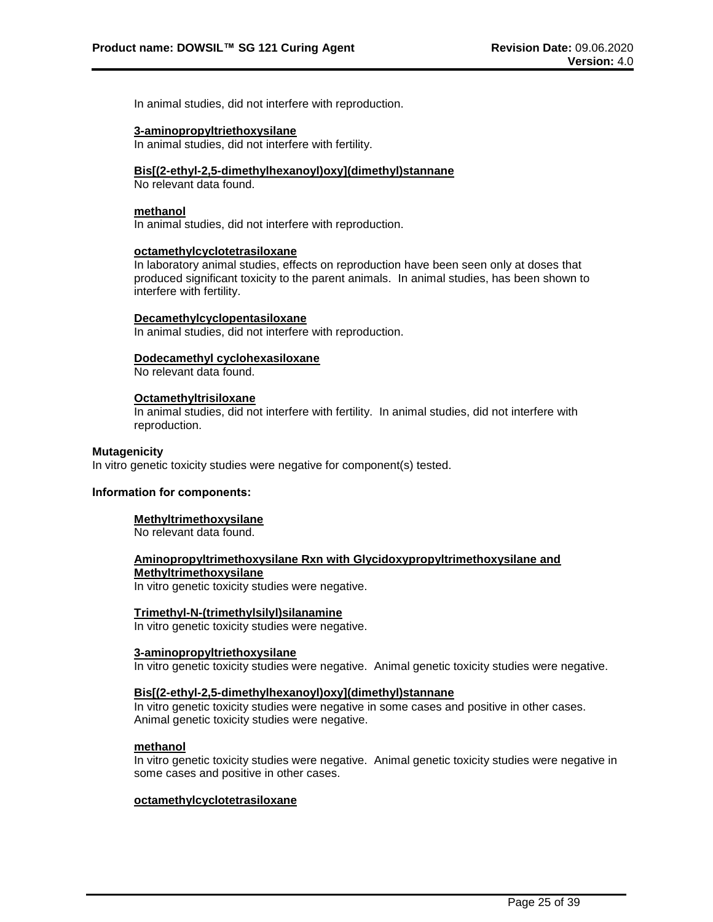In animal studies, did not interfere with reproduction.

#### **3-aminopropyltriethoxysilane**

In animal studies, did not interfere with fertility.

#### **Bis[(2-ethyl-2,5-dimethylhexanoyl)oxy](dimethyl)stannane**

No relevant data found.

# **methanol**

In animal studies, did not interfere with reproduction.

#### **octamethylcyclotetrasiloxane**

In laboratory animal studies, effects on reproduction have been seen only at doses that produced significant toxicity to the parent animals. In animal studies, has been shown to interfere with fertility.

#### **Decamethylcyclopentasiloxane**

In animal studies, did not interfere with reproduction.

## **Dodecamethyl cyclohexasiloxane**

No relevant data found.

#### **Octamethyltrisiloxane**

In animal studies, did not interfere with fertility. In animal studies, did not interfere with reproduction.

#### **Mutagenicity**

In vitro genetic toxicity studies were negative for component(s) tested.

#### **Information for components:**

# **Methyltrimethoxysilane**

No relevant data found.

# **Aminopropyltrimethoxysilane Rxn with Glycidoxypropyltrimethoxysilane and Methyltrimethoxysilane**

In vitro genetic toxicity studies were negative.

#### **Trimethyl-N-(trimethylsilyl)silanamine**

In vitro genetic toxicity studies were negative.

# **3-aminopropyltriethoxysilane**

In vitro genetic toxicity studies were negative. Animal genetic toxicity studies were negative.

# **Bis[(2-ethyl-2,5-dimethylhexanoyl)oxy](dimethyl)stannane**

In vitro genetic toxicity studies were negative in some cases and positive in other cases. Animal genetic toxicity studies were negative.

#### **methanol**

In vitro genetic toxicity studies were negative. Animal genetic toxicity studies were negative in some cases and positive in other cases.

#### **octamethylcyclotetrasiloxane**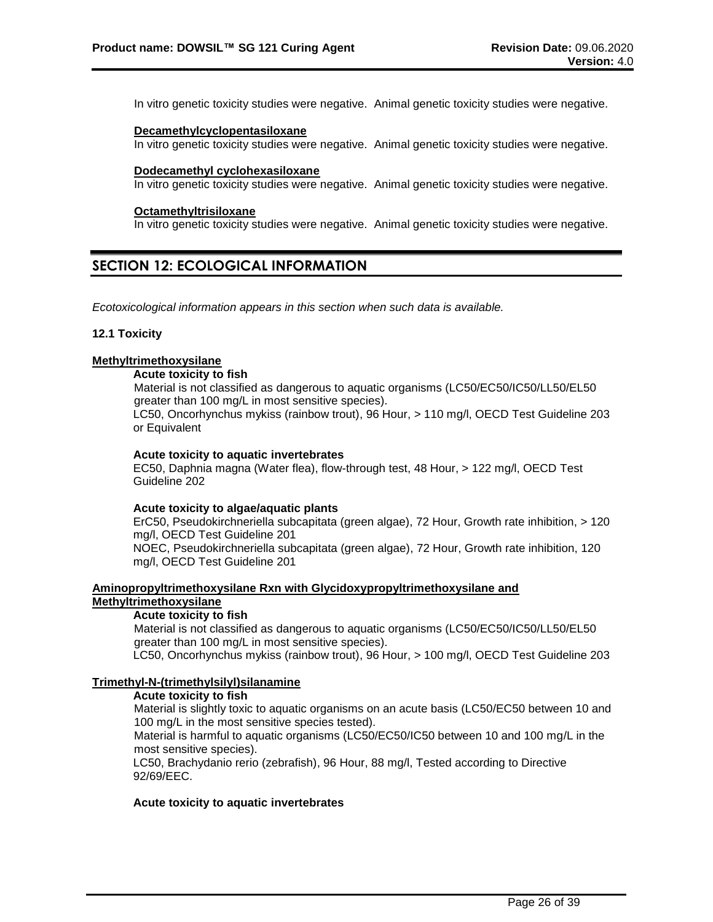In vitro genetic toxicity studies were negative. Animal genetic toxicity studies were negative.

#### **Decamethylcyclopentasiloxane**

In vitro genetic toxicity studies were negative. Animal genetic toxicity studies were negative.

#### **Dodecamethyl cyclohexasiloxane**

In vitro genetic toxicity studies were negative. Animal genetic toxicity studies were negative.

#### **Octamethyltrisiloxane**

In vitro genetic toxicity studies were negative. Animal genetic toxicity studies were negative.

# **SECTION 12: ECOLOGICAL INFORMATION**

*Ecotoxicological information appears in this section when such data is available.*

# **12.1 Toxicity**

# **Methyltrimethoxysilane**

# **Acute toxicity to fish**

Material is not classified as dangerous to aquatic organisms (LC50/EC50/IC50/LL50/EL50 greater than 100 mg/L in most sensitive species).

LC50, Oncorhynchus mykiss (rainbow trout), 96 Hour, > 110 mg/l, OECD Test Guideline 203 or Equivalent

# **Acute toxicity to aquatic invertebrates**

EC50, Daphnia magna (Water flea), flow-through test, 48 Hour, > 122 mg/l, OECD Test Guideline 202

#### **Acute toxicity to algae/aquatic plants**

ErC50, Pseudokirchneriella subcapitata (green algae), 72 Hour, Growth rate inhibition, > 120 mg/l, OECD Test Guideline 201

NOEC, Pseudokirchneriella subcapitata (green algae), 72 Hour, Growth rate inhibition, 120 mg/l, OECD Test Guideline 201

# **Aminopropyltrimethoxysilane Rxn with Glycidoxypropyltrimethoxysilane and Methyltrimethoxysilane**

# **Acute toxicity to fish**

Material is not classified as dangerous to aquatic organisms (LC50/EC50/IC50/LL50/EL50 greater than 100 mg/L in most sensitive species).

LC50, Oncorhynchus mykiss (rainbow trout), 96 Hour, > 100 mg/l, OECD Test Guideline 203

#### **Trimethyl-N-(trimethylsilyl)silanamine**

# **Acute toxicity to fish**

Material is slightly toxic to aquatic organisms on an acute basis (LC50/EC50 between 10 and 100 mg/L in the most sensitive species tested).

Material is harmful to aquatic organisms (LC50/EC50/IC50 between 10 and 100 mg/L in the most sensitive species).

LC50, Brachydanio rerio (zebrafish), 96 Hour, 88 mg/l, Tested according to Directive 92/69/EEC.

## **Acute toxicity to aquatic invertebrates**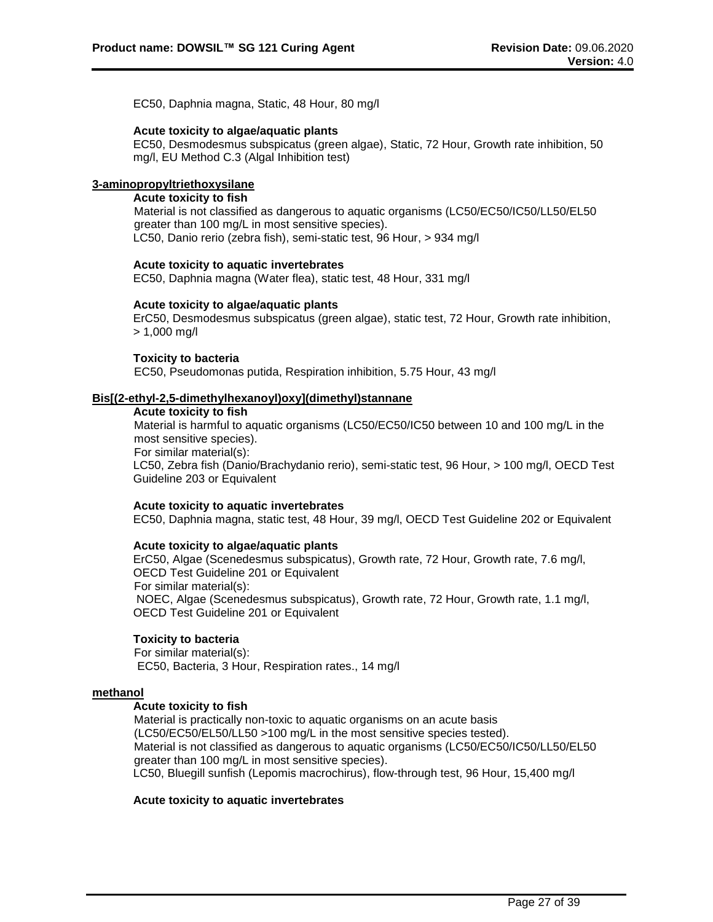EC50, Daphnia magna, Static, 48 Hour, 80 mg/l

# **Acute toxicity to algae/aquatic plants**

EC50, Desmodesmus subspicatus (green algae), Static, 72 Hour, Growth rate inhibition, 50 mg/l, EU Method C.3 (Algal Inhibition test)

# **3-aminopropyltriethoxysilane**

# **Acute toxicity to fish**

Material is not classified as dangerous to aquatic organisms (LC50/EC50/IC50/LL50/EL50 greater than 100 mg/L in most sensitive species). LC50, Danio rerio (zebra fish), semi-static test, 96 Hour, > 934 mg/l

# **Acute toxicity to aquatic invertebrates**

EC50, Daphnia magna (Water flea), static test, 48 Hour, 331 mg/l

# **Acute toxicity to algae/aquatic plants**

ErC50, Desmodesmus subspicatus (green algae), static test, 72 Hour, Growth rate inhibition, > 1,000 mg/l

# **Toxicity to bacteria**

EC50, Pseudomonas putida, Respiration inhibition, 5.75 Hour, 43 mg/l

# **Bis[(2-ethyl-2,5-dimethylhexanoyl)oxy](dimethyl)stannane**

#### **Acute toxicity to fish**

Material is harmful to aquatic organisms (LC50/EC50/IC50 between 10 and 100 mg/L in the most sensitive species).

For similar material(s):

LC50, Zebra fish (Danio/Brachydanio rerio), semi-static test, 96 Hour, > 100 mg/l, OECD Test Guideline 203 or Equivalent

# **Acute toxicity to aquatic invertebrates**

EC50, Daphnia magna, static test, 48 Hour, 39 mg/l, OECD Test Guideline 202 or Equivalent

# **Acute toxicity to algae/aquatic plants**

ErC50, Algae (Scenedesmus subspicatus), Growth rate, 72 Hour, Growth rate, 7.6 mg/l, OECD Test Guideline 201 or Equivalent For similar material(s): NOEC, Algae (Scenedesmus subspicatus), Growth rate, 72 Hour, Growth rate, 1.1 mg/l, OECD Test Guideline 201 or Equivalent

# **Toxicity to bacteria**

For similar material(s): EC50, Bacteria, 3 Hour, Respiration rates., 14 mg/l

# **methanol**

# **Acute toxicity to fish**

Material is practically non-toxic to aquatic organisms on an acute basis (LC50/EC50/EL50/LL50 >100 mg/L in the most sensitive species tested). Material is not classified as dangerous to aquatic organisms (LC50/EC50/IC50/LL50/EL50 greater than 100 mg/L in most sensitive species). LC50, Bluegill sunfish (Lepomis macrochirus), flow-through test, 96 Hour, 15,400 mg/l

# **Acute toxicity to aquatic invertebrates**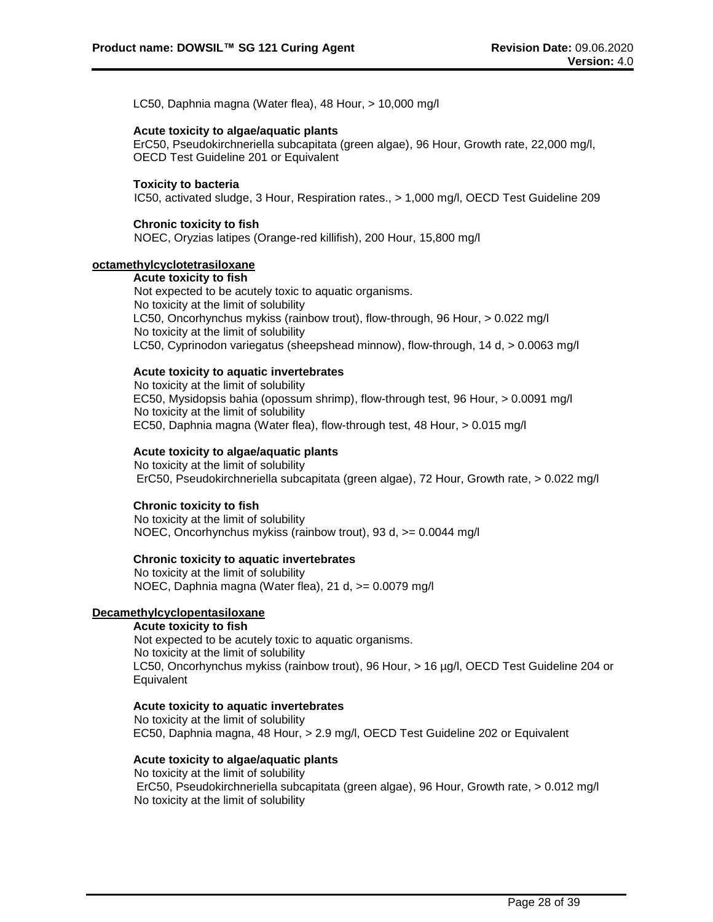LC50, Daphnia magna (Water flea), 48 Hour, > 10,000 mg/l

# **Acute toxicity to algae/aquatic plants**

ErC50, Pseudokirchneriella subcapitata (green algae), 96 Hour, Growth rate, 22,000 mg/l, OECD Test Guideline 201 or Equivalent

# **Toxicity to bacteria**

IC50, activated sludge, 3 Hour, Respiration rates., > 1,000 mg/l, OECD Test Guideline 209

# **Chronic toxicity to fish**

NOEC, Oryzias latipes (Orange-red killifish), 200 Hour, 15,800 mg/l

# **octamethylcyclotetrasiloxane**

**Acute toxicity to fish** Not expected to be acutely toxic to aquatic organisms. No toxicity at the limit of solubility LC50, Oncorhynchus mykiss (rainbow trout), flow-through, 96 Hour, > 0.022 mg/l No toxicity at the limit of solubility LC50, Cyprinodon variegatus (sheepshead minnow), flow-through, 14 d, > 0.0063 mg/l

# **Acute toxicity to aquatic invertebrates**

No toxicity at the limit of solubility EC50, Mysidopsis bahia (opossum shrimp), flow-through test, 96 Hour, > 0.0091 mg/l No toxicity at the limit of solubility EC50, Daphnia magna (Water flea), flow-through test, 48 Hour, > 0.015 mg/l

# **Acute toxicity to algae/aquatic plants**

No toxicity at the limit of solubility ErC50, Pseudokirchneriella subcapitata (green algae), 72 Hour, Growth rate, > 0.022 mg/l

# **Chronic toxicity to fish**

No toxicity at the limit of solubility NOEC, Oncorhynchus mykiss (rainbow trout), 93 d, >= 0.0044 mg/l

#### **Chronic toxicity to aquatic invertebrates**

No toxicity at the limit of solubility NOEC, Daphnia magna (Water flea), 21 d, >= 0.0079 mg/l

#### **Decamethylcyclopentasiloxane**

# **Acute toxicity to fish**

Not expected to be acutely toxic to aquatic organisms. No toxicity at the limit of solubility LC50, Oncorhynchus mykiss (rainbow trout), 96 Hour, > 16 µg/l, OECD Test Guideline 204 or **Equivalent** 

#### **Acute toxicity to aquatic invertebrates**

No toxicity at the limit of solubility EC50, Daphnia magna, 48 Hour, > 2.9 mg/l, OECD Test Guideline 202 or Equivalent

#### **Acute toxicity to algae/aquatic plants**

No toxicity at the limit of solubility ErC50, Pseudokirchneriella subcapitata (green algae), 96 Hour, Growth rate, > 0.012 mg/l No toxicity at the limit of solubility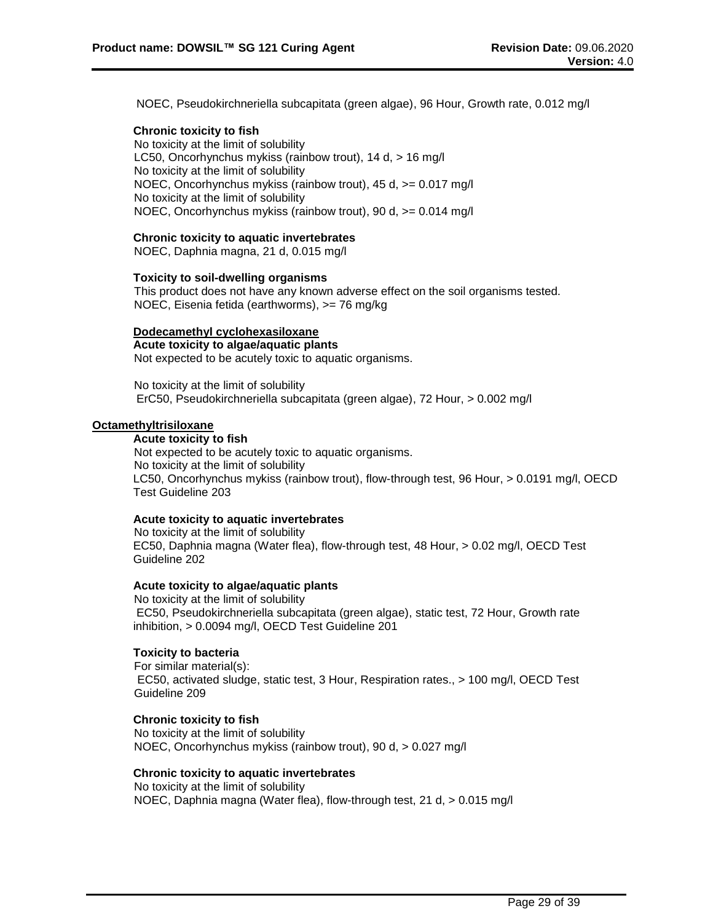NOEC, Pseudokirchneriella subcapitata (green algae), 96 Hour, Growth rate, 0.012 mg/l

# **Chronic toxicity to fish**

No toxicity at the limit of solubility LC50, Oncorhynchus mykiss (rainbow trout), 14 d, > 16 mg/l No toxicity at the limit of solubility NOEC, Oncorhynchus mykiss (rainbow trout), 45 d, >= 0.017 mg/l No toxicity at the limit of solubility NOEC, Oncorhynchus mykiss (rainbow trout), 90 d, >= 0.014 mg/l

# **Chronic toxicity to aquatic invertebrates**

NOEC, Daphnia magna, 21 d, 0.015 mg/l

# **Toxicity to soil-dwelling organisms**

This product does not have any known adverse effect on the soil organisms tested. NOEC, Eisenia fetida (earthworms), >= 76 mg/kg

#### **Dodecamethyl cyclohexasiloxane**

**Acute toxicity to algae/aquatic plants** Not expected to be acutely toxic to aquatic organisms.

No toxicity at the limit of solubility ErC50, Pseudokirchneriella subcapitata (green algae), 72 Hour, > 0.002 mg/l

# **Octamethyltrisiloxane**

**Acute toxicity to fish** Not expected to be acutely toxic to aquatic organisms. No toxicity at the limit of solubility LC50, Oncorhynchus mykiss (rainbow trout), flow-through test, 96 Hour, > 0.0191 mg/l, OECD Test Guideline 203

# **Acute toxicity to aquatic invertebrates**

No toxicity at the limit of solubility EC50, Daphnia magna (Water flea), flow-through test, 48 Hour, > 0.02 mg/l, OECD Test Guideline 202

#### **Acute toxicity to algae/aquatic plants**

No toxicity at the limit of solubility EC50, Pseudokirchneriella subcapitata (green algae), static test, 72 Hour, Growth rate inhibition, > 0.0094 mg/l, OECD Test Guideline 201

# **Toxicity to bacteria**

For similar material(s): EC50, activated sludge, static test, 3 Hour, Respiration rates., > 100 mg/l, OECD Test Guideline 209

# **Chronic toxicity to fish**

No toxicity at the limit of solubility NOEC, Oncorhynchus mykiss (rainbow trout), 90 d, > 0.027 mg/l

## **Chronic toxicity to aquatic invertebrates**

No toxicity at the limit of solubility NOEC, Daphnia magna (Water flea), flow-through test, 21 d, > 0.015 mg/l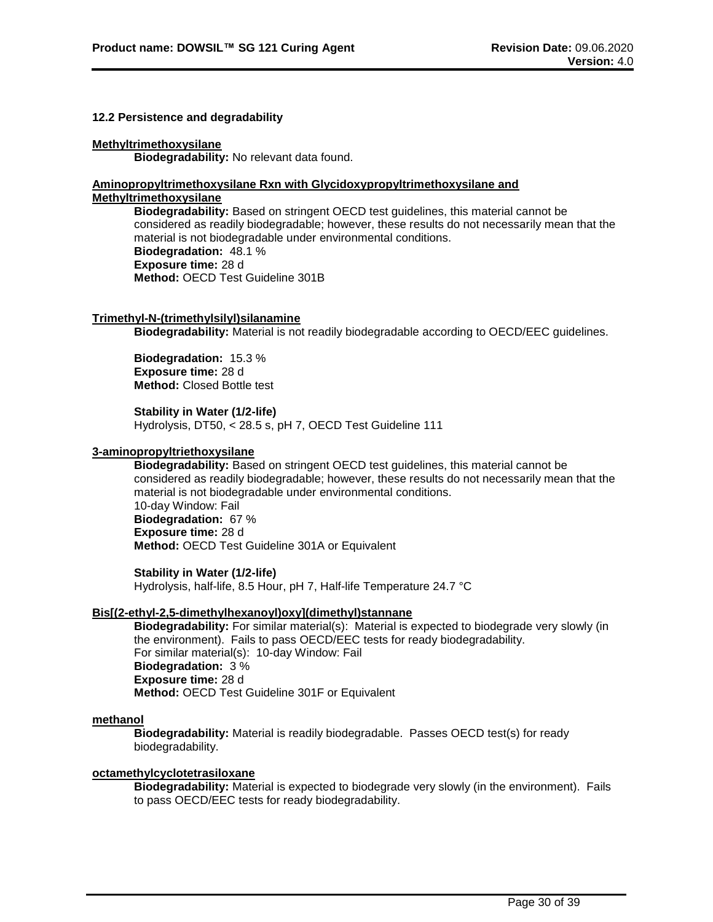## **12.2 Persistence and degradability**

# **Methyltrimethoxysilane**

**Biodegradability:** No relevant data found.

#### **Aminopropyltrimethoxysilane Rxn with Glycidoxypropyltrimethoxysilane and Methyltrimethoxysilane**

**Biodegradability:** Based on stringent OECD test guidelines, this material cannot be considered as readily biodegradable; however, these results do not necessarily mean that the material is not biodegradable under environmental conditions. **Biodegradation:** 48.1 % **Exposure time:** 28 d **Method:** OECD Test Guideline 301B

# **Trimethyl-N-(trimethylsilyl)silanamine**

**Biodegradability:** Material is not readily biodegradable according to OECD/EEC guidelines.

**Biodegradation:** 15.3 % **Exposure time:** 28 d **Method:** Closed Bottle test

**Stability in Water (1/2-life)** Hydrolysis, DT50, < 28.5 s, pH 7, OECD Test Guideline 111

# **3-aminopropyltriethoxysilane**

**Biodegradability:** Based on stringent OECD test guidelines, this material cannot be considered as readily biodegradable; however, these results do not necessarily mean that the material is not biodegradable under environmental conditions. 10-day Window: Fail **Biodegradation:** 67 % **Exposure time:** 28 d **Method:** OECD Test Guideline 301A or Equivalent

# **Stability in Water (1/2-life)**

Hydrolysis, half-life, 8.5 Hour, pH 7, Half-life Temperature 24.7 °C

# **Bis[(2-ethyl-2,5-dimethylhexanoyl)oxy](dimethyl)stannane**

**Biodegradability:** For similar material(s): Material is expected to biodegrade very slowly (in the environment). Fails to pass OECD/EEC tests for ready biodegradability. For similar material(s): 10-day Window: Fail **Biodegradation:** 3 % **Exposure time:** 28 d **Method:** OECD Test Guideline 301F or Equivalent

#### **methanol**

**Biodegradability:** Material is readily biodegradable. Passes OECD test(s) for ready biodegradability.

#### **octamethylcyclotetrasiloxane**

**Biodegradability:** Material is expected to biodegrade very slowly (in the environment). Fails to pass OECD/EEC tests for ready biodegradability.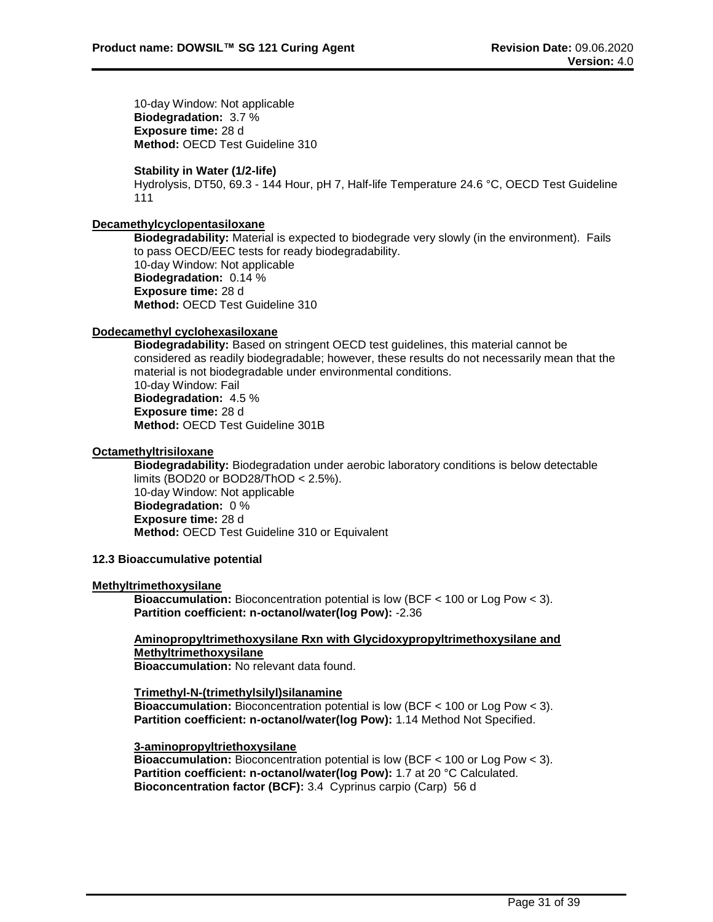10-day Window: Not applicable **Biodegradation:** 3.7 % **Exposure time:** 28 d **Method:** OECD Test Guideline 310

# **Stability in Water (1/2-life)**

Hydrolysis, DT50, 69.3 - 144 Hour, pH 7, Half-life Temperature 24.6 °C, OECD Test Guideline 111

# **Decamethylcyclopentasiloxane**

**Biodegradability:** Material is expected to biodegrade very slowly (in the environment). Fails to pass OECD/EEC tests for ready biodegradability. 10-day Window: Not applicable **Biodegradation:** 0.14 % **Exposure time:** 28 d **Method:** OECD Test Guideline 310

# **Dodecamethyl cyclohexasiloxane**

**Biodegradability:** Based on stringent OECD test guidelines, this material cannot be considered as readily biodegradable; however, these results do not necessarily mean that the material is not biodegradable under environmental conditions. 10-day Window: Fail **Biodegradation:** 4.5 % **Exposure time:** 28 d **Method:** OECD Test Guideline 301B

#### **Octamethyltrisiloxane**

**Biodegradability:** Biodegradation under aerobic laboratory conditions is below detectable limits (BOD20 or BOD28/ThOD < 2.5%). 10-day Window: Not applicable **Biodegradation:** 0 % **Exposure time:** 28 d **Method:** OECD Test Guideline 310 or Equivalent

#### **12.3 Bioaccumulative potential**

#### **Methyltrimethoxysilane**

**Bioaccumulation:** Bioconcentration potential is low (BCF < 100 or Log Pow < 3). **Partition coefficient: n-octanol/water(log Pow):** -2.36

# **Aminopropyltrimethoxysilane Rxn with Glycidoxypropyltrimethoxysilane and Methyltrimethoxysilane**

**Bioaccumulation:** No relevant data found.

# **Trimethyl-N-(trimethylsilyl)silanamine**

**Bioaccumulation:** Bioconcentration potential is low (BCF < 100 or Log Pow < 3). **Partition coefficient: n-octanol/water(log Pow):** 1.14 Method Not Specified.

#### **3-aminopropyltriethoxysilane**

**Bioaccumulation:** Bioconcentration potential is low (BCF < 100 or Log Pow < 3). **Partition coefficient: n-octanol/water(log Pow):** 1.7 at 20 °C Calculated. **Bioconcentration factor (BCF):** 3.4 Cyprinus carpio (Carp) 56 d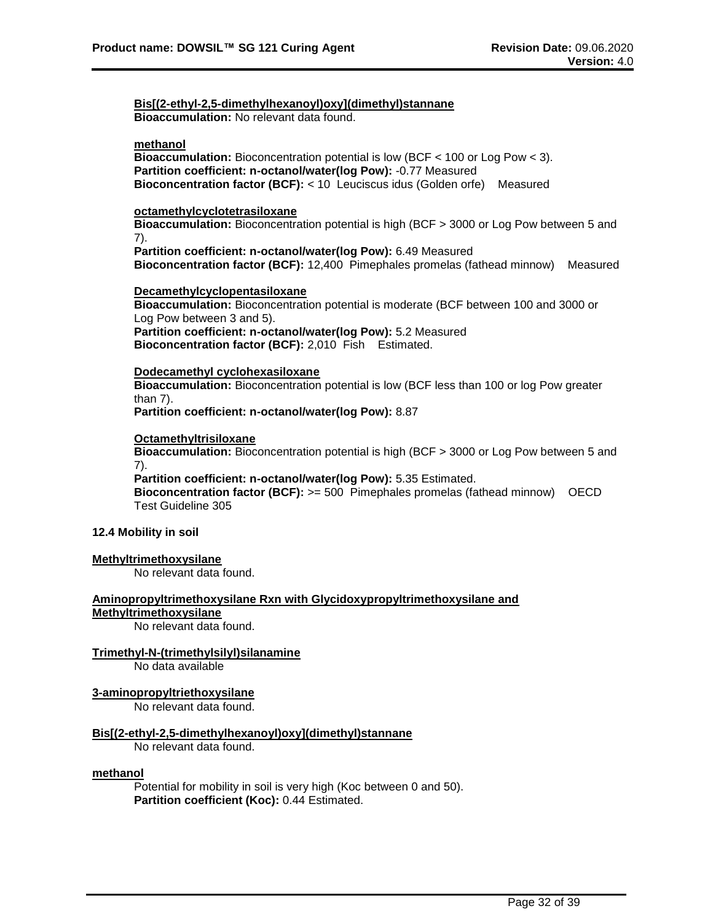**Bis[(2-ethyl-2,5-dimethylhexanoyl)oxy](dimethyl)stannane Bioaccumulation:** No relevant data found.

#### **methanol**

**Bioaccumulation:** Bioconcentration potential is low (BCF < 100 or Log Pow < 3). **Partition coefficient: n-octanol/water(log Pow):** -0.77 Measured **Bioconcentration factor (BCF):** < 10 Leuciscus idus (Golden orfe) Measured

# **octamethylcyclotetrasiloxane**

**Bioaccumulation:** Bioconcentration potential is high (BCF > 3000 or Log Pow between 5 and 7).

**Partition coefficient: n-octanol/water(log Pow):** 6.49 Measured **Bioconcentration factor (BCF):** 12,400 Pimephales promelas (fathead minnow) Measured

#### **Decamethylcyclopentasiloxane**

**Bioaccumulation:** Bioconcentration potential is moderate (BCF between 100 and 3000 or Log Pow between 3 and 5). **Partition coefficient: n-octanol/water(log Pow):** 5.2 Measured **Bioconcentration factor (BCF):** 2,010 Fish Estimated.

## **Dodecamethyl cyclohexasiloxane**

**Bioaccumulation:** Bioconcentration potential is low (BCF less than 100 or log Pow greater than 7).

**Partition coefficient: n-octanol/water(log Pow):** 8.87

#### **Octamethyltrisiloxane**

**Bioaccumulation:** Bioconcentration potential is high (BCF > 3000 or Log Pow between 5 and 7).

**Partition coefficient: n-octanol/water(log Pow):** 5.35 Estimated. **Bioconcentration factor (BCF):** >= 500 Pimephales promelas (fathead minnow) OECD Test Guideline 305

## **12.4 Mobility in soil**

#### **Methyltrimethoxysilane**

No relevant data found.

# **Aminopropyltrimethoxysilane Rxn with Glycidoxypropyltrimethoxysilane and**

# **Methyltrimethoxysilane**

No relevant data found.

# **Trimethyl-N-(trimethylsilyl)silanamine**

No data available

# **3-aminopropyltriethoxysilane**

No relevant data found.

# **Bis[(2-ethyl-2,5-dimethylhexanoyl)oxy](dimethyl)stannane**

No relevant data found.

#### **methanol**

Potential for mobility in soil is very high (Koc between 0 and 50). **Partition coefficient (Koc):** 0.44 Estimated.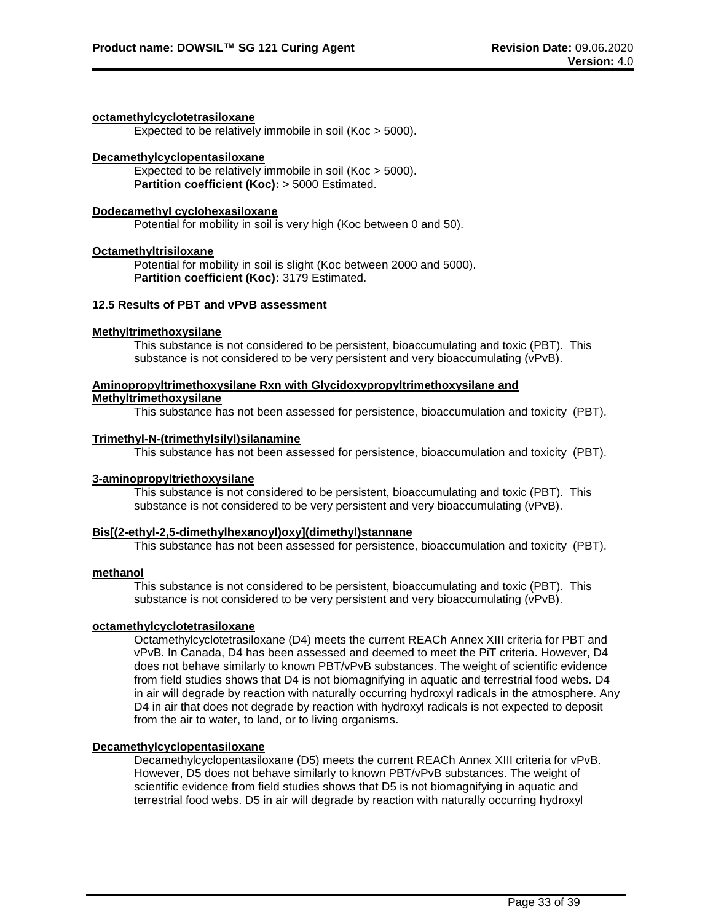## **octamethylcyclotetrasiloxane**

Expected to be relatively immobile in soil (Koc > 5000).

# **Decamethylcyclopentasiloxane**

Expected to be relatively immobile in soil (Koc > 5000). **Partition coefficient (Koc):** > 5000 Estimated.

# **Dodecamethyl cyclohexasiloxane**

Potential for mobility in soil is very high (Koc between 0 and 50).

# **Octamethyltrisiloxane**

Potential for mobility in soil is slight (Koc between 2000 and 5000). **Partition coefficient (Koc):** 3179 Estimated.

# **12.5 Results of PBT and vPvB assessment**

# **Methyltrimethoxysilane**

This substance is not considered to be persistent, bioaccumulating and toxic (PBT). This substance is not considered to be very persistent and very bioaccumulating (vPvB).

# **Aminopropyltrimethoxysilane Rxn with Glycidoxypropyltrimethoxysilane and**

# **Methyltrimethoxysilane**

This substance has not been assessed for persistence, bioaccumulation and toxicity (PBT).

# **Trimethyl-N-(trimethylsilyl)silanamine**

This substance has not been assessed for persistence, bioaccumulation and toxicity (PBT).

# **3-aminopropyltriethoxysilane**

This substance is not considered to be persistent, bioaccumulating and toxic (PBT). This substance is not considered to be very persistent and very bioaccumulating (vPvB).

# **Bis[(2-ethyl-2,5-dimethylhexanoyl)oxy](dimethyl)stannane**

This substance has not been assessed for persistence, bioaccumulation and toxicity (PBT).

#### **methanol**

This substance is not considered to be persistent, bioaccumulating and toxic (PBT). This substance is not considered to be very persistent and very bioaccumulating (vPvB).

#### **octamethylcyclotetrasiloxane**

Octamethylcyclotetrasiloxane (D4) meets the current REACh Annex XIII criteria for PBT and vPvB. In Canada, D4 has been assessed and deemed to meet the PiT criteria. However, D4 does not behave similarly to known PBT/vPvB substances. The weight of scientific evidence from field studies shows that D4 is not biomagnifying in aquatic and terrestrial food webs. D4 in air will degrade by reaction with naturally occurring hydroxyl radicals in the atmosphere. Any D<sub>4</sub> in air that does not degrade by reaction with hydroxyl radicals is not expected to deposit from the air to water, to land, or to living organisms.

#### **Decamethylcyclopentasiloxane**

Decamethylcyclopentasiloxane (D5) meets the current REACh Annex XIII criteria for vPvB. However, D5 does not behave similarly to known PBT/vPvB substances. The weight of scientific evidence from field studies shows that D5 is not biomagnifying in aquatic and terrestrial food webs. D5 in air will degrade by reaction with naturally occurring hydroxyl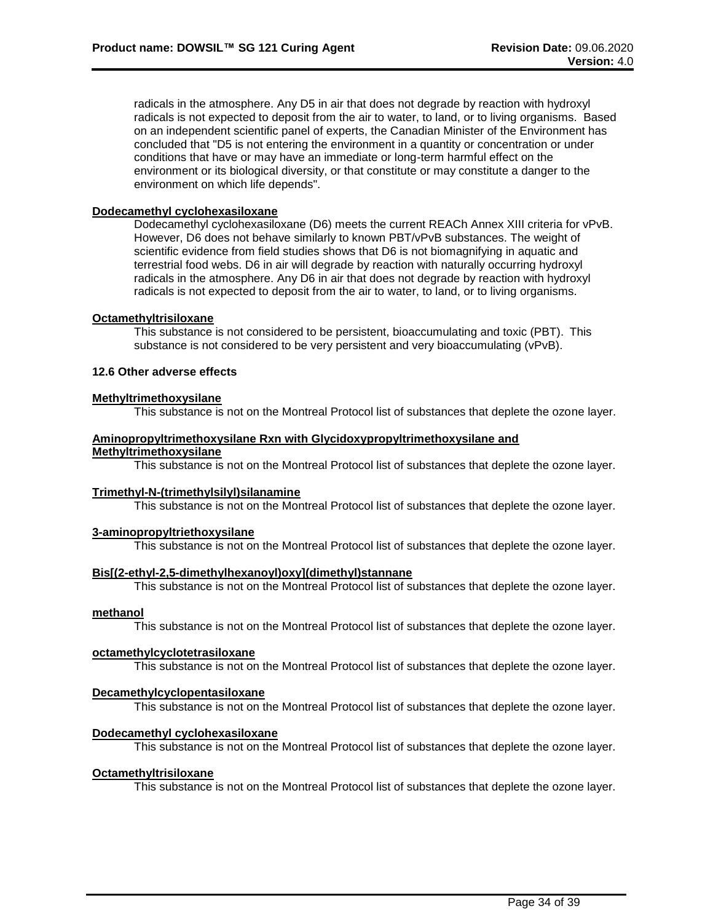radicals in the atmosphere. Any D5 in air that does not degrade by reaction with hydroxyl radicals is not expected to deposit from the air to water, to land, or to living organisms. Based on an independent scientific panel of experts, the Canadian Minister of the Environment has concluded that "D5 is not entering the environment in a quantity or concentration or under conditions that have or may have an immediate or long-term harmful effect on the environment or its biological diversity, or that constitute or may constitute a danger to the environment on which life depends".

# **Dodecamethyl cyclohexasiloxane**

Dodecamethyl cyclohexasiloxane (D6) meets the current REACh Annex XIII criteria for vPvB. However, D6 does not behave similarly to known PBT/vPvB substances. The weight of scientific evidence from field studies shows that D6 is not biomagnifying in aquatic and terrestrial food webs. D6 in air will degrade by reaction with naturally occurring hydroxyl radicals in the atmosphere. Any D6 in air that does not degrade by reaction with hydroxyl radicals is not expected to deposit from the air to water, to land, or to living organisms.

#### **Octamethyltrisiloxane**

This substance is not considered to be persistent, bioaccumulating and toxic (PBT). This substance is not considered to be very persistent and very bioaccumulating (vPvB).

# **12.6 Other adverse effects**

# **Methyltrimethoxysilane**

This substance is not on the Montreal Protocol list of substances that deplete the ozone layer.

# **Aminopropyltrimethoxysilane Rxn with Glycidoxypropyltrimethoxysilane and Methyltrimethoxysilane**

This substance is not on the Montreal Protocol list of substances that deplete the ozone layer.

#### **Trimethyl-N-(trimethylsilyl)silanamine**

This substance is not on the Montreal Protocol list of substances that deplete the ozone layer.

#### **3-aminopropyltriethoxysilane**

This substance is not on the Montreal Protocol list of substances that deplete the ozone layer.

# **Bis[(2-ethyl-2,5-dimethylhexanoyl)oxy](dimethyl)stannane**

This substance is not on the Montreal Protocol list of substances that deplete the ozone layer.

#### **methanol**

This substance is not on the Montreal Protocol list of substances that deplete the ozone layer.

# **octamethylcyclotetrasiloxane**

This substance is not on the Montreal Protocol list of substances that deplete the ozone layer.

# **Decamethylcyclopentasiloxane**

This substance is not on the Montreal Protocol list of substances that deplete the ozone layer.

# **Dodecamethyl cyclohexasiloxane**

This substance is not on the Montreal Protocol list of substances that deplete the ozone layer.

#### **Octamethyltrisiloxane**

This substance is not on the Montreal Protocol list of substances that deplete the ozone layer.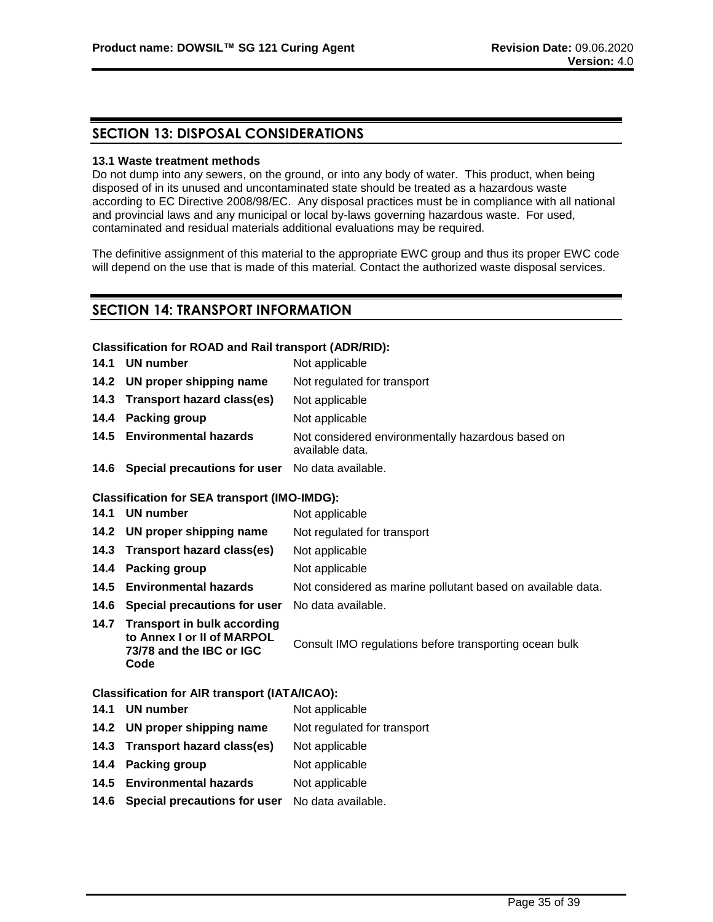# **SECTION 13: DISPOSAL CONSIDERATIONS**

# **13.1 Waste treatment methods**

Do not dump into any sewers, on the ground, or into any body of water. This product, when being disposed of in its unused and uncontaminated state should be treated as a hazardous waste according to EC Directive 2008/98/EC. Any disposal practices must be in compliance with all national and provincial laws and any municipal or local by-laws governing hazardous waste. For used, contaminated and residual materials additional evaluations may be required.

The definitive assignment of this material to the appropriate EWC group and thus its proper EWC code will depend on the use that is made of this material. Contact the authorized waste disposal services.

# **SECTION 14: TRANSPORT INFORMATION**

# **Classification for ROAD and Rail transport (ADR/RID):**

| 14.1 UN number                                              | Not applicable                                                       |
|-------------------------------------------------------------|----------------------------------------------------------------------|
| 14.2 UN proper shipping name                                | Not regulated for transport                                          |
| 14.3 Transport hazard class(es)                             | Not applicable                                                       |
| 14.4 Packing group                                          | Not applicable                                                       |
| 14.5 Environmental hazards                                  | Not considered environmentally hazardous based on<br>available data. |
| <b>14.6 Special precautions for user</b> No data available. |                                                                      |

# **Classification for SEA transport (IMO-IMDG):**

- **14.1 UN number** Not applicable
- **14.2 UN proper shipping name** Not regulated for transport
- **14.3 Transport hazard class(es)** Not applicable
- **14.4 Packing group** Not applicable
- **14.5 Environmental hazards** Not considered as marine pollutant based on available data.
- **14.6 Special precautions for user** No data available.
- **14.7 Transport in bulk according to Annex I or II of MARPOL 73/78 and the IBC or IGC Code**

Consult IMO regulations before transporting ocean bulk

# **Classification for AIR transport (IATA/ICAO):**

- **14.1 UN number** Not applicable **14.2 UN proper shipping name** Not regulated for transport **14.3 Transport hazard class(es)** Not applicable **14.4 Packing group Mot applicable 14.5 Environmental hazards** Not applicable
- **14.6 Special precautions for user** No data available.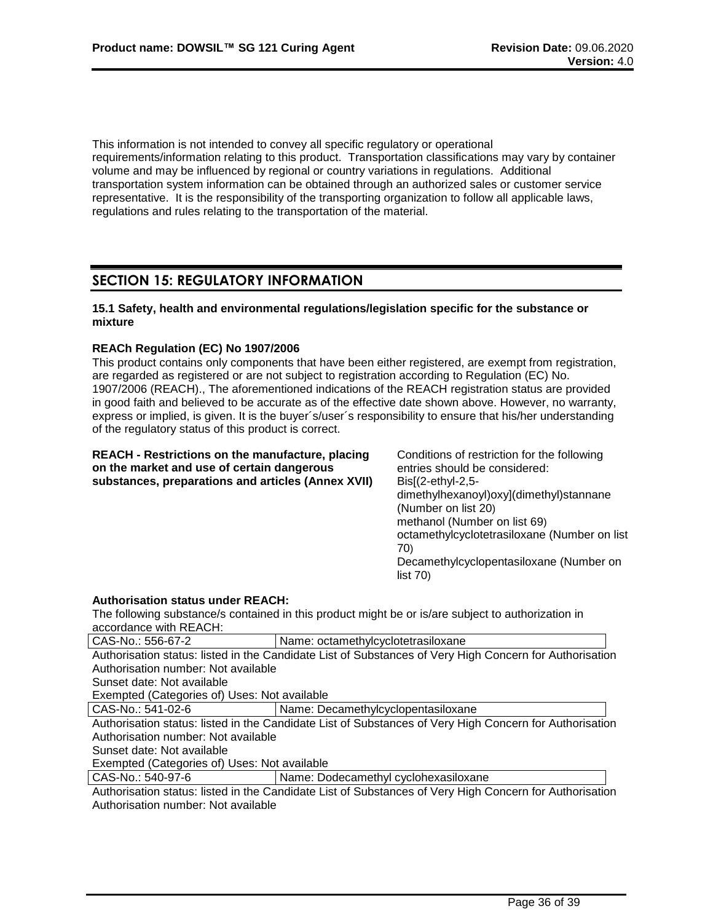This information is not intended to convey all specific regulatory or operational requirements/information relating to this product. Transportation classifications may vary by container volume and may be influenced by regional or country variations in regulations. Additional transportation system information can be obtained through an authorized sales or customer service representative. It is the responsibility of the transporting organization to follow all applicable laws, regulations and rules relating to the transportation of the material.

# **SECTION 15: REGULATORY INFORMATION**

# **15.1 Safety, health and environmental regulations/legislation specific for the substance or mixture**

# **REACh Regulation (EC) No 1907/2006**

This product contains only components that have been either registered, are exempt from registration, are regarded as registered or are not subject to registration according to Regulation (EC) No. 1907/2006 (REACH)., The aforementioned indications of the REACH registration status are provided in good faith and believed to be accurate as of the effective date shown above. However, no warranty, express or implied, is given. It is the buyer´s/user´s responsibility to ensure that his/her understanding of the regulatory status of this product is correct.

| <b>REACH - Restrictions on the manufacture, placing</b><br>on the market and use of certain dangerous<br>substances, preparations and articles (Annex XVII) | Conditions of restriction for the following<br>entries should be considered:<br>$Dis[(2-ethyl-2,5-$ |
|-------------------------------------------------------------------------------------------------------------------------------------------------------------|-----------------------------------------------------------------------------------------------------|
|                                                                                                                                                             | dimethylhexanoyl)oxy](dimethyl)stannane<br>(Number on list 20)                                      |
|                                                                                                                                                             | methanol (Number on list 69)                                                                        |
|                                                                                                                                                             | octamethylcyclotetrasiloxane (Number on list                                                        |
|                                                                                                                                                             | 70)                                                                                                 |
|                                                                                                                                                             | Decamethylcyclopentasiloxane (Number on<br>list 70                                                  |
| <b>Authorisation status under REACH:</b><br>The following substance/s contained in this product might be or is/are subject to authorization in              |                                                                                                     |

accordance with REACH:

| CAS-No.: 556-67-2                                                                                       | Name: octamethylcyclotetrasiloxane   |  |
|---------------------------------------------------------------------------------------------------------|--------------------------------------|--|
| Authorisation status: listed in the Candidate List of Substances of Very High Concern for Authorisation |                                      |  |
| Authorisation number: Not available                                                                     |                                      |  |
| Sunset date: Not available                                                                              |                                      |  |
| Exempted (Categories of) Uses: Not available                                                            |                                      |  |
| CAS-No.: 541-02-6                                                                                       | Name: Decamethylcyclopentasiloxane   |  |
| Authorisation status: listed in the Candidate List of Substances of Very High Concern for Authorisation |                                      |  |
| Authorisation number: Not available                                                                     |                                      |  |
| Sunset date: Not available                                                                              |                                      |  |
| Exempted (Categories of) Uses: Not available                                                            |                                      |  |
| CAS-No.: 540-97-6                                                                                       | Name: Dodecamethyl cyclohexasiloxane |  |
| Authorisation status: listed in the Candidate List of Substances of Very High Concern for Authorisation |                                      |  |
| Authorisation number: Not available                                                                     |                                      |  |
|                                                                                                         |                                      |  |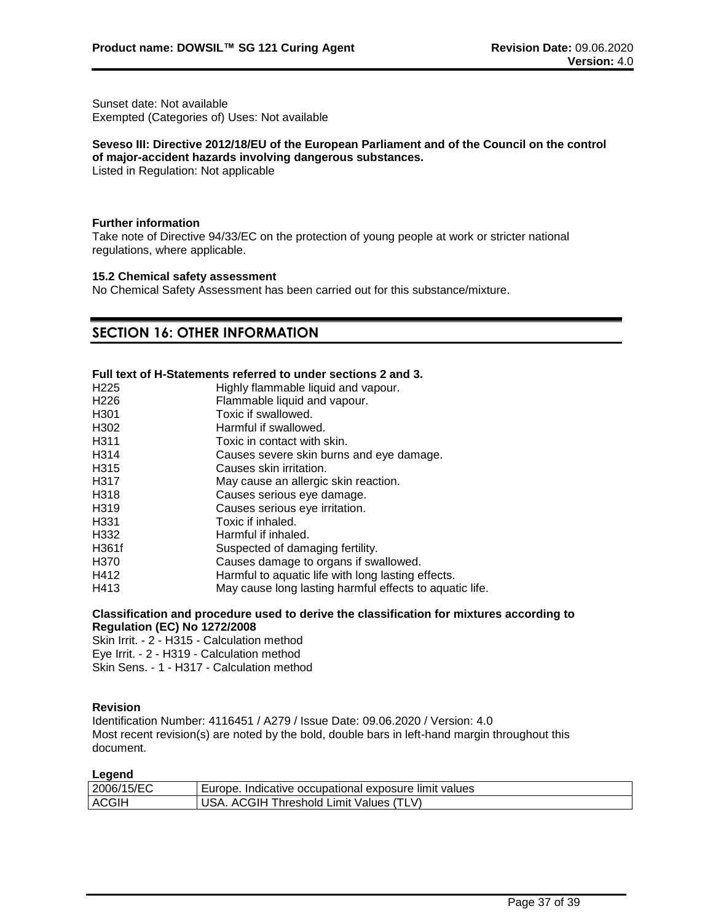Sunset date: Not available Exempted (Categories of) Uses: Not available

## **Seveso III: Directive 2012/18/EU of the European Parliament and of the Council on the control of major-accident hazards involving dangerous substances.**

Listed in Regulation: Not applicable

## **Further information**

Take note of Directive 94/33/EC on the protection of young people at work or stricter national regulations, where applicable.

# **15.2 Chemical safety assessment**

No Chemical Safety Assessment has been carried out for this substance/mixture.

# **SECTION 16: OTHER INFORMATION**

# **Full text of H-Statements referred to under sections 2 and 3.**

| H <sub>225</sub> | Highly flammable liquid and vapour.                     |
|------------------|---------------------------------------------------------|
| H <sub>226</sub> | Flammable liquid and vapour.                            |
| H <sub>301</sub> | Toxic if swallowed.                                     |
| H302             | Harmful if swallowed.                                   |
| H311             | Toxic in contact with skin.                             |
| H314             | Causes severe skin burns and eye damage.                |
| H315             | Causes skin irritation.                                 |
| H317             | May cause an allergic skin reaction.                    |
| H318             | Causes serious eye damage.                              |
| H319             | Causes serious eye irritation.                          |
| H331             | Toxic if inhaled.                                       |
| H332             | Harmful if inhaled.                                     |
| H361f            | Suspected of damaging fertility.                        |
| H370             | Causes damage to organs if swallowed.                   |
| H412             | Harmful to aquatic life with long lasting effects.      |
| H413             | May cause long lasting harmful effects to aquatic life. |
|                  |                                                         |

# **Classification and procedure used to derive the classification for mixtures according to Regulation (EC) No 1272/2008**

Skin Irrit. - 2 - H315 - Calculation method Eye Irrit. - 2 - H319 - Calculation method Skin Sens. - 1 - H317 - Calculation method

# **Revision**

Identification Number: 4116451 / A279 / Issue Date: 09.06.2020 / Version: 4.0 Most recent revision(s) are noted by the bold, double bars in left-hand margin throughout this document.

## **Legend**

| 2006/15/EC   | Indicative occupational exposure limit values<br>Europe. |
|--------------|----------------------------------------------------------|
| <b>ACGIH</b> | (TLV)<br>∴GIH<br>Threshold Limit Values /<br>AC.         |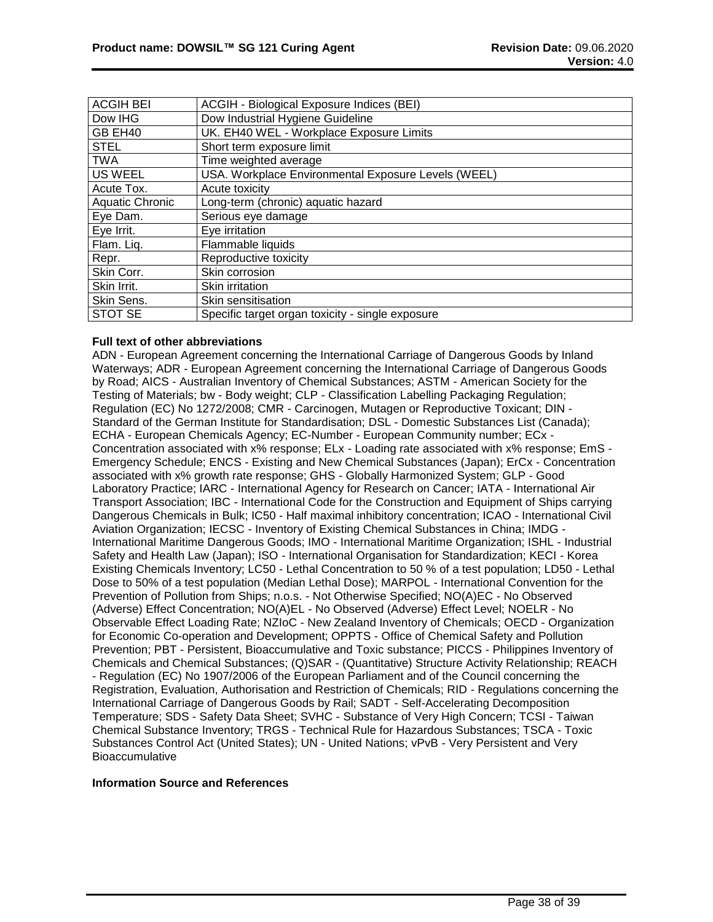| <b>ACGIH BEI</b>       | ACGIH - Biological Exposure Indices (BEI)           |
|------------------------|-----------------------------------------------------|
| Dow IHG                | Dow Industrial Hygiene Guideline                    |
| GB EH40                | UK. EH40 WEL - Workplace Exposure Limits            |
| <b>STEL</b>            | Short term exposure limit                           |
| <b>TWA</b>             | Time weighted average                               |
| <b>US WEEL</b>         | USA. Workplace Environmental Exposure Levels (WEEL) |
| Acute Tox.             | Acute toxicity                                      |
| <b>Aquatic Chronic</b> | Long-term (chronic) aquatic hazard                  |
| Eye Dam.               | Serious eye damage                                  |
| Eye Irrit.             | Eye irritation                                      |
| Flam. Liq.             | Flammable liquids                                   |
| Repr.                  | Reproductive toxicity                               |
| Skin Corr.             | Skin corrosion                                      |
| Skin Irrit.            | Skin irritation                                     |
| Skin Sens.             | Skin sensitisation                                  |
| STOT SE                | Specific target organ toxicity - single exposure    |

# **Full text of other abbreviations**

ADN - European Agreement concerning the International Carriage of Dangerous Goods by Inland Waterways; ADR - European Agreement concerning the International Carriage of Dangerous Goods by Road; AICS - Australian Inventory of Chemical Substances; ASTM - American Society for the Testing of Materials; bw - Body weight; CLP - Classification Labelling Packaging Regulation; Regulation (EC) No 1272/2008; CMR - Carcinogen, Mutagen or Reproductive Toxicant; DIN - Standard of the German Institute for Standardisation; DSL - Domestic Substances List (Canada); ECHA - European Chemicals Agency; EC-Number - European Community number; ECx - Concentration associated with x% response; ELx - Loading rate associated with x% response; EmS - Emergency Schedule; ENCS - Existing and New Chemical Substances (Japan); ErCx - Concentration associated with x% growth rate response; GHS - Globally Harmonized System; GLP - Good Laboratory Practice; IARC - International Agency for Research on Cancer; IATA - International Air Transport Association; IBC - International Code for the Construction and Equipment of Ships carrying Dangerous Chemicals in Bulk; IC50 - Half maximal inhibitory concentration; ICAO - International Civil Aviation Organization; IECSC - Inventory of Existing Chemical Substances in China; IMDG - International Maritime Dangerous Goods; IMO - International Maritime Organization; ISHL - Industrial Safety and Health Law (Japan); ISO - International Organisation for Standardization; KECI - Korea Existing Chemicals Inventory; LC50 - Lethal Concentration to 50 % of a test population; LD50 - Lethal Dose to 50% of a test population (Median Lethal Dose); MARPOL - International Convention for the Prevention of Pollution from Ships; n.o.s. - Not Otherwise Specified; NO(A)EC - No Observed (Adverse) Effect Concentration; NO(A)EL - No Observed (Adverse) Effect Level; NOELR - No Observable Effect Loading Rate; NZIoC - New Zealand Inventory of Chemicals; OECD - Organization for Economic Co-operation and Development; OPPTS - Office of Chemical Safety and Pollution Prevention; PBT - Persistent, Bioaccumulative and Toxic substance; PICCS - Philippines Inventory of Chemicals and Chemical Substances; (Q)SAR - (Quantitative) Structure Activity Relationship; REACH - Regulation (EC) No 1907/2006 of the European Parliament and of the Council concerning the Registration, Evaluation, Authorisation and Restriction of Chemicals; RID - Regulations concerning the International Carriage of Dangerous Goods by Rail; SADT - Self-Accelerating Decomposition Temperature; SDS - Safety Data Sheet; SVHC - Substance of Very High Concern; TCSI - Taiwan Chemical Substance Inventory; TRGS - Technical Rule for Hazardous Substances; TSCA - Toxic Substances Control Act (United States); UN - United Nations; vPvB - Very Persistent and Very **Bioaccumulative** 

# **Information Source and References**